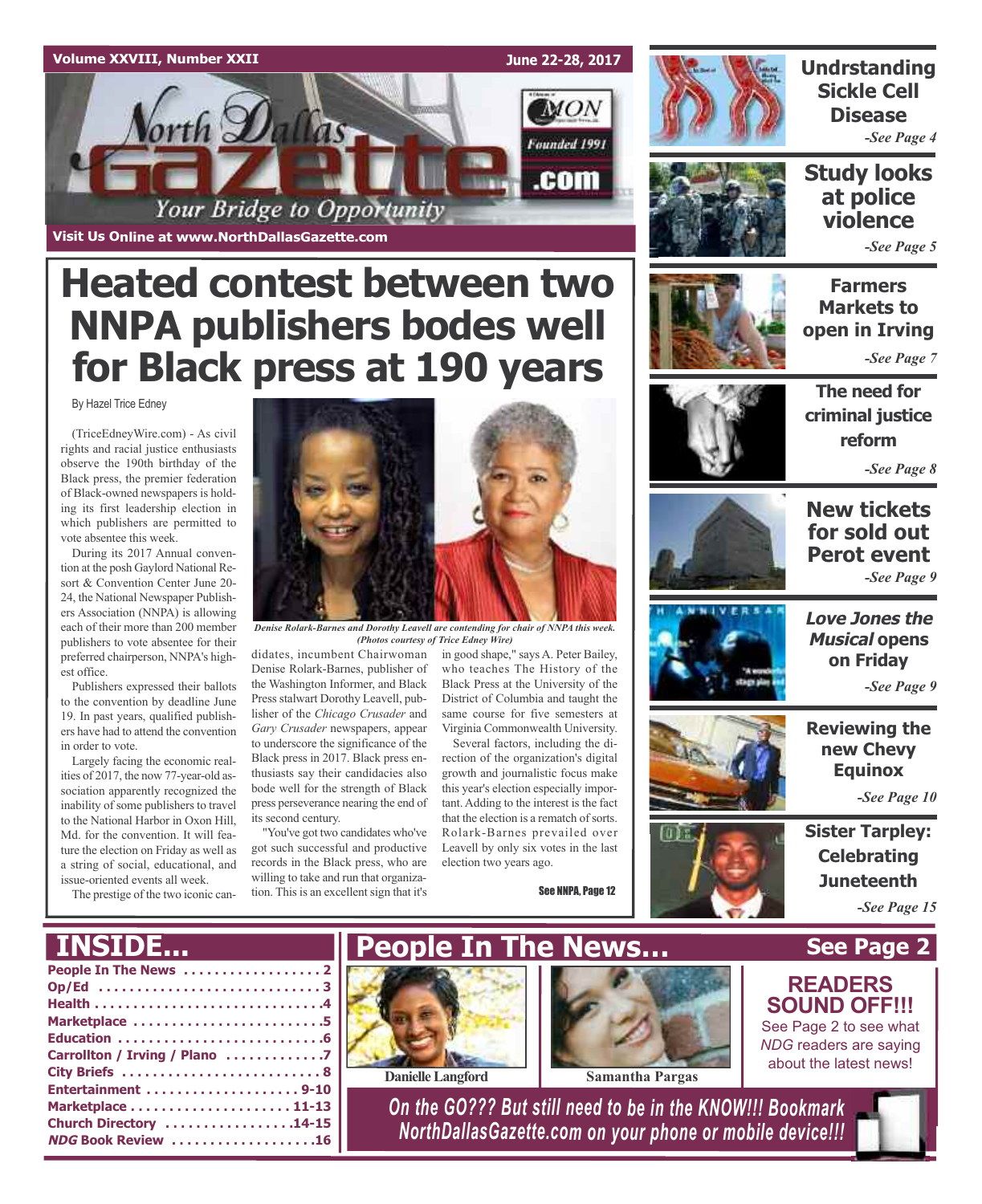#### **Volume XXVIII, Number XXII**



**Visit Us Online at www.NorthDallasGazette.com**

# **Heated contest between two NNPA publishers bodes well for Black press at 190 years**

By Hazel Trice Edney

(TriceEdneyWire.com) - As civil rights and racial justice enthusiasts observe the 190th birthday of the Black press, the premier federation of Black-owned newspapers is holding its first leadership election in which publishers are permitted to vote absentee this week.

During its 2017 Annual convention at the posh Gaylord National Resort & Convention Center June 20- 24, the National Newspaper Publishers Association (NNPA) is allowing each of their more than 200 member publishers to vote absentee for their preferred chairperson, NNPA's highest office.

Publishers expressed their ballots to the convention by deadline June 19. In past years, qualified publishers have had to attend the convention in order to vote.

Largely facing the economic realities of 2017, the now 77-year-old association apparently recognized the inability of some publishers to travel to the National Harbor in Oxon Hill, Md. for the convention. It will feature the election on Friday as well as a string of social, educational, and issue-oriented events all week.

The prestige of the two iconic can-



*(Photos courtesy of Trice Edney Wire)*

didates, incumbent Chairwoman Denise Rolark-Barnes, publisher of the Washington Informer, and Black Press stalwart Dorothy Leavell, publisher of the *Chicago Crusader* and *Gary Crusader* newspapers, appear to underscore the significance of the Black press in 2017. Black press enthusiasts say their candidacies also bode well for the strength of Black press perseverance nearing the end of its second century.

"You've got two candidates who've got such successful and productive records in the Black press, who are willing to take and run that organization. This is an excellent sign that it's

in good shape," says A. Peter Bailey, who teaches The History of the Black Press at the University of the District of Columbia and taught the same course for five semesters at Virginia Commonwealth University.

Several factors, including the direction of the organization's digital growth and journalistic focus make this year's election especially important. Adding to the interest is the fact that the election is a rematch of sorts. Rolark-Barnes prevailed over Leavell by only six votes in the last election two years ago.

See NNPA, Page 12



### **Undrstanding Sickle Cell Disease** *-See Page 4*

**Study looks at police violence**

*-See Page 5*

**Farmers Markets to open in Irving**

*-See Page 7*



*-See Page 8*

### **New tickets for sold out Perot event** *-See Page 9*



**Love Jones the Musical opens on Friday**

*-See Page 9*

**Reviewing the new Chevy Equinox**

*-See Page 10*

**Sister Tarpley: Celebrating Juneteenth**

*-See Page 15*

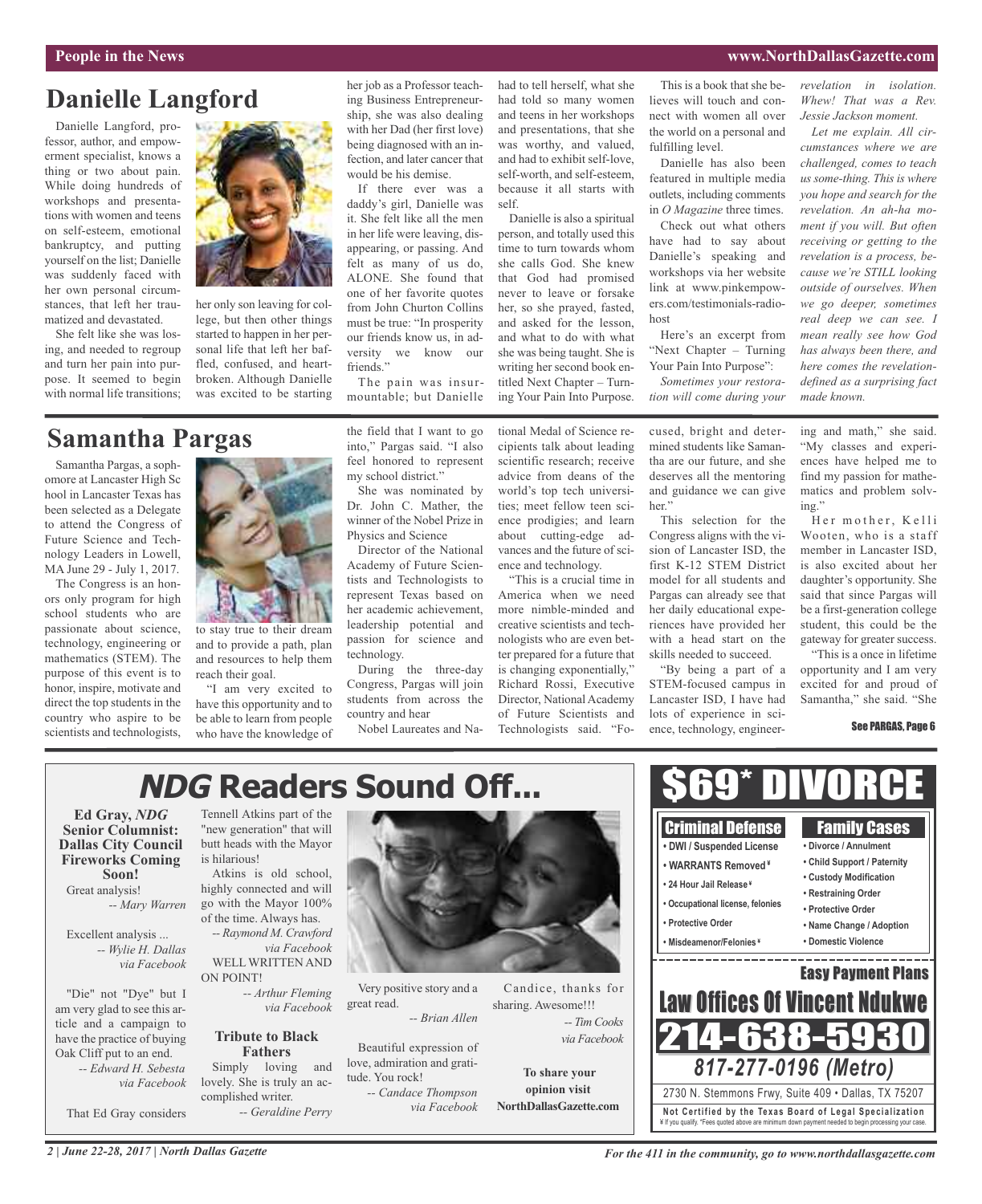#### **People in the News www.NorthDallasGazette.com**

### **Danielle Langford**

Danielle Langford, professor, author, and empowerment specialist, knows a thing or two about pain. While doing hundreds of workshops and presentations with women and teens on self-esteem, emotional bankruptcy, and putting yourself on the list; Danielle was suddenly faced with her own personal circumstances, that left her traumatized and devastated.

She felt like she was losing, and needed to regroup and turn her pain into purpose. It seemed to begin with normal life transitions;



her only son leaving for college, but then other things started to happen in her personal life that left her baffled, confused, and heartbroken. Although Danielle was excited to be starting

### **Samantha Pargas**

Samantha Pargas, a sophomore at Lancaster High Sc hool in Lancaster Texas has been selected as a Delegate to attend the Congress of Future Science and Technology Leaders in Lowell, MA June 29 - July 1, 2017.

The Congress is an honors only program for high school students who are passionate about science, technology, engineering or mathematics (STEM). The purpose of this event is to honor, inspire, motivate and direct the top students in the country who aspire to be scientists and technologists,



to stay true to their dream and to provide a path, plan and resources to help them reach their goal.

"I am very excited to have this opportunity and to be able to learn from people who have the knowledge of the field that I want to go into," Pargas said. "I also feel honored to represent my school district."

The pain was insurmountable; but Danielle

friends."

her job as a Professor teaching Business Entrepreneurship, she was also dealing with her Dad (her first love) being diagnosed with an infection, and later cancer that would be his demise.

If there ever was a daddy's girl, Danielle was it. She felt like all the men in her life were leaving, disappearing, or passing. And felt as many of us do, ALONE. She found that one of her favorite quotes from John Churton Collins must be true: "In prosperity our friends know us, in adversity we know our

She was nominated by Dr. John C. Mather, the winner of the Nobel Prize in Physics and Science

Director of the National Academy of Future Scientists and Technologists to represent Texas based on her academic achievement, leadership potential and passion for science and technology.

During the three-day Congress, Pargas will join students from across the country and hear

Nobel Laureates and Na-

had to tell herself, what she had told so many women and teens in her workshops and presentations, that she was worthy, and valued, and had to exhibit self-love, self-worth, and self-esteem, because it all starts with self.

Danielle is also a spiritual person, and totally used this time to turn towards whom she calls God. She knew that God had promised never to leave or forsake her, so she prayed, fasted, and asked for the lesson, and what to do with what she was being taught. She is writing her second book entitled Next Chapter – Turning Your Pain Into Purpose.

tional Medal of Science recipients talk about leading scientific research; receive advice from deans of the world's top tech universities; meet fellow teen science prodigies; and learn about cutting-edge advances and the future of science and technology.

"This is a crucial time in America when we need more nimble-minded and creative scientists and technologists who are even better prepared for a future that is changing exponentially," Richard Rossi, Executive Director, National Academy of Future Scientists and Technologists said. "Fo-

This is a book that she believes will touch and connect with women all over the world on a personal and fulfilling level.

Danielle has also been featured in multiple media outlets, including comments in *O Magazine* three times.

Check out what others have had to say about Danielle's speaking and workshops via her website link at www.pinkempowers.com/testimonials-radiohost

Here's an excerpt from "Next Chapter – Turning Your Pain Into Purpose":

*Sometimes your restoration will come during your*

cused, bright and determined students like Samantha are our future, and she deserves all the mentoring and guidance we can give

This selection for the Congress aligns with the vision of Lancaster ISD, the first K-12 STEM District model for all students and Pargas can already see that her daily educational experiences have provided her with a head start on the skills needed to succeed. "By being a part of a STEM-focused campus in Lancaster ISD, I have had lots of experience in science, technology, engineer-

her."

*revelation in isolation. Whew! That was a Rev. Jessie Jackson moment.*

*Let me explain. All circumstances where we are challenged, comes to teach us some-thing. This is where you hope and search for the revelation. An ah-ha moment if you will. But often receiving or getting to the revelation is a process, because we're STILL looking outside of ourselves. When we go deeper, sometimes real deep we can see. I mean really see how God has always been there, and here comes the revelationdefined as a surprising fact made known.*

ing and math," she said. "My classes and experiences have helped me to find my passion for mathematics and problem solving."

Her mother, Kelli Wooten, who is a staff member in Lancaster ISD, is also excited about her daughter's opportunity. She said that since Pargas will be a first-generation college student, this could be the gateway for greater success. "This is a once in lifetime

opportunity and I am very excited for and proud of Samantha," she said. "She

#### See PARGAS, Page 6

## **NDG Readers Sound Off...**

**Ed Gray,** *NDG* **Senior Columnist: Dallas City Council Fireworks Coming Soon!** Great analysis! *-- Mary Warren*

Excellent analysis ... *-- Wylie H. Dallas via Facebook*

"Die" not "Dye" but I am very glad to see this article and a campaign to have the practice of buying Oak Cliff put to an end. *-- Edward H. Sebesta*

*via Facebook*

That Ed Gray considers

Tennell Atkins part of the "new generation" that will butt heads with the Mayor is hilarious!

Atkins is old school, highly connected and will go with the Mayor 100% of the time. Always has. *-- Raymond M. Crawford via Facebook*

WELLWRITTEN AND ON POINT! *-- Arthur Fleming*

*via Facebook*

#### **Tribute to Black Fathers**

Simply loving and lovely. She is truly an accomplished writer. *-- Geraldine Perry*



Very positive story and a great read. *-- Brian Allen*

Beautiful expression of love, admiration and gratitude. You rock!

*-- Candace Thompson via Facebook*

Candice, thanks for sharing. Awesome!!! *-- Tim Cooks via Facebook*

**To share your opinion visit NorthDallasGazette.com**



\$69\* DIVORCE

*For the 411 in the community, go to www.northdallasgazette.com*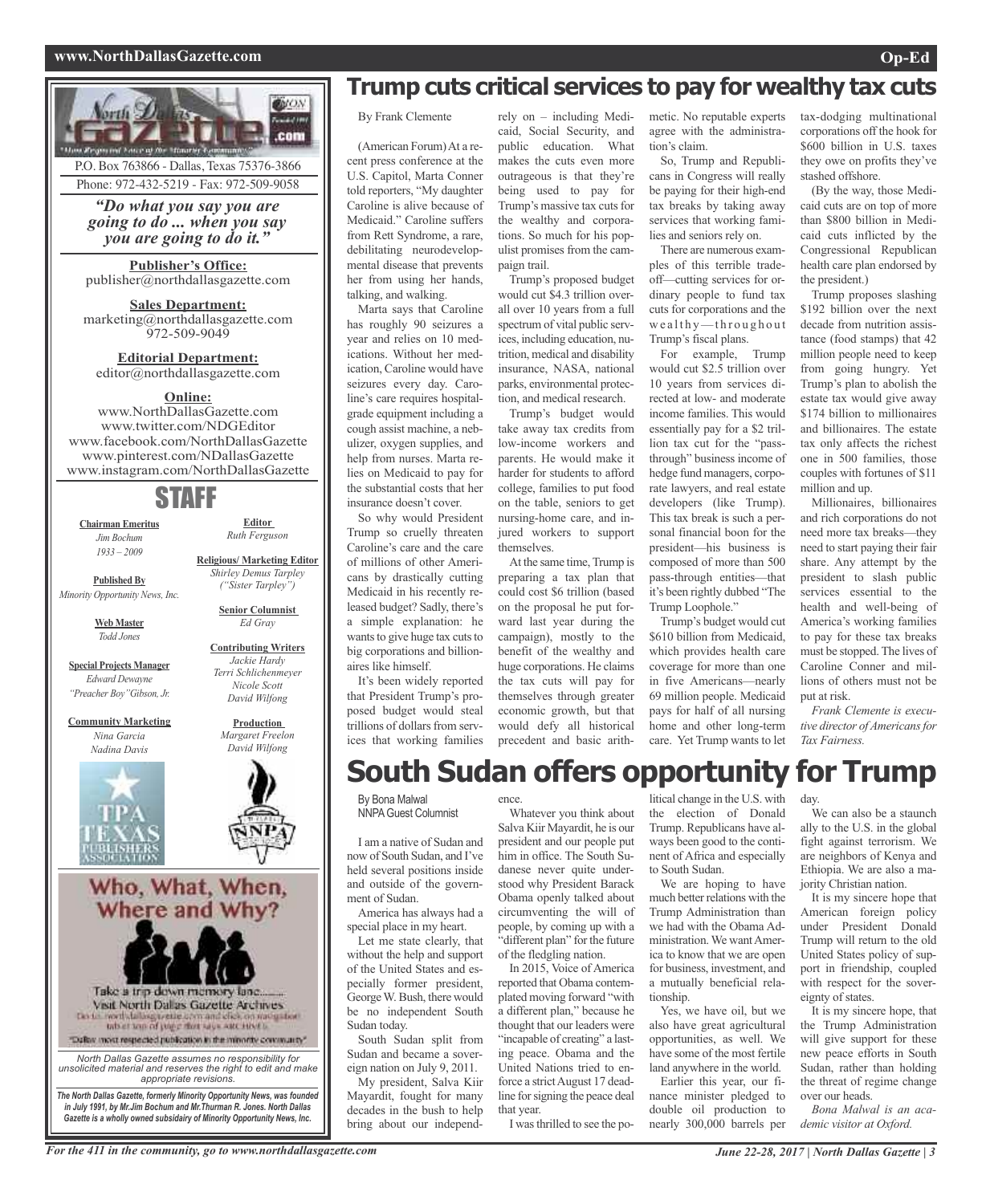#### **www.NorthDallasGazette.com Op-Ed**



## **Trump cuts critical services to pay for wealthy tax cuts**

By Frank Clemente

(American Forum) At a recent press conference at the U.S. Capitol, Marta Conner told reporters, "My daughter Caroline is alive because of Medicaid." Caroline suffers from Rett Syndrome, a rare, debilitating neurodevelopmental disease that prevents her from using her hands, talking, and walking.

Marta says that Caroline has roughly 90 seizures a year and relies on 10 medications. Without her medication, Caroline would have seizures every day. Caroline's care requires hospitalgrade equipment including a cough assist machine, a nebulizer, oxygen supplies, and help from nurses. Marta relies on Medicaid to pay for the substantial costs that her insurance doesn't cover.

So why would President Trump so cruelly threaten Caroline's care and the care of millions of other Americans by drastically cutting Medicaid in his recently released budget? Sadly, there's a simple explanation: he wants to give huge tax cuts to big corporations and billionaires like himself.

It's been widely reported that President Trump's proposed budget would steal trillions of dollars from services that working families rely on – including Medicaid, Social Security, and public education. What makes the cuts even more outrageous is that they're being used to pay for Trump's massive tax cuts for the wealthy and corporations. So much for his populist promises from the campaign trail.

Trump's proposed budget would cut \$4.3 trillion overall over 10 years from a full spectrum of vital public services, including education, nutrition, medical and disability insurance, NASA, national parks, environmental protection, and medical research.

Trump's budget would take away tax credits from low-income workers and parents. He would make it harder for students to afford college, families to put food on the table, seniors to get nursing-home care, and injured workers to support themselves.

At the same time, Trump is preparing a tax plan that could cost \$6 trillion (based on the proposal he put forward last year during the campaign), mostly to the benefit of the wealthy and huge corporations. He claims the tax cuts will pay for themselves through greater economic growth, but that would defy all historical precedent and basic arith-

Whatever you think about Salva Kiir Mayardit, he is our president and our people put him in office. The South Sudanese never quite understood why President Barack Obama openly talked about circumventing the will of people, by coming up with a "different plan" for the future of the fledgling nation. In 2015, Voice of America reported that Obama contemplated moving forward "with a different plan," because he thought that our leaders were "incapable of creating" a lasting peace. Obama and the United Nations tried to enforce a strict August 17 deadline forsigning the peace deal

ence.

metic. No reputable experts agree with the administration's claim.

So, Trump and Republicans in Congress will really be paying for their high-end tax breaks by taking away services that working families and seniors rely on.

There are numerous examples of this terrible tradeoff—cutting services for ordinary people to fund tax cuts for corporations and the wealthy-throughout Trump's fiscal plans.

For example, Trump would cut \$2.5 trillion over 10 years from services directed at low- and moderate income families. This would essentially pay for a \$2 trillion tax cut for the "passthrough" business income of hedge fund managers, corporate lawyers, and real estate developers (like Trump). This tax break is such a personal financial boon for the president—his business is composed of more than 500 pass-through entities—that it's been rightly dubbed "The Trump Loophole."

Trump's budget would cut \$610 billion from Medicaid, which provides health care coverage for more than one in five Americans—nearly 69 million people. Medicaid pays for half of all nursing home and other long-term care. Yet Trump wants to let tax-dodging multinational corporations off the hook for \$600 billion in U.S. taxes they owe on profits they've stashed offshore.

(By the way, those Medicaid cuts are on top of more than \$800 billion in Medicaid cuts inflicted by the Congressional Republican health care plan endorsed by the president.)

Trump proposes slashing \$192 billion over the next decade from nutrition assistance (food stamps) that 42 million people need to keep from going hungry. Yet Trump's plan to abolish the estate tax would give away \$174 billion to millionaires and billionaires. The estate tax only affects the richest one in 500 families, those couples with fortunes of \$11 million and up.

Millionaires, billionaires and rich corporations do not need more tax breaks—they need to start paying their fair share. Any attempt by the president to slash public services essential to the health and well-being of America's working families to pay for these tax breaks must be stopped. The lives of Caroline Conner and millions of others must not be put at risk.

*Frank Clemente is executive director of Americansfor Tax Fairness.*

## **South Sudan offers opportunity for Trump**

By Bona Malwal NNPAGuest Columnist

I am a native of Sudan and now of South Sudan, and I've held several positions inside and outside of the government of Sudan.

America has always had a special place in my heart.

Let me state clearly, that without the help and support of the United States and especially former president, GeorgeW.Bush, there would be no independent South Sudan today.

South Sudan split from Sudan and became a sovereign nation on July 9, 2011.

My president, Salva Kiir Mayardit, fought for many decades in the bush to help

bring about our independ-

I wasthrilled to see the po-

that year.

litical change in the U.S. with the election of Donald Trump. Republicans have always been good to the continent of Africa and especially to South Sudan.

We are hoping to have much better relations with the Trump Administration than we had with the Obama Administration.We wantAmerica to know that we are open for business, investment, and a mutually beneficial relationship.

Yes, we have oil, but we also have great agricultural opportunities, as well. We have some of the most fertile land anywhere in the world. Earlier this year, our fi-

nance minister pledged to double oil production to nearly 300,000 barrels per

day. We can also be a staunch ally to the U.S. in the global fight against terrorism. We are neighbors of Kenya and Ethiopia. We are also a majority Christian nation.

It is my sincere hope that American foreign policy under President Donald Trump will return to the old United States policy of support in friendship, coupled with respect for the sovereignty of states.

It is my sincere hope, that the Trump Administration will give support for these new peace efforts in South Sudan, rather than holding the threat of regime change over our heads.

*Bona Malwal is an academic visitor at Oxford.*

For the 411 in the community, go to www.northdallasgazette.com June 22-28, 2017 | North Dallas Gazette | 3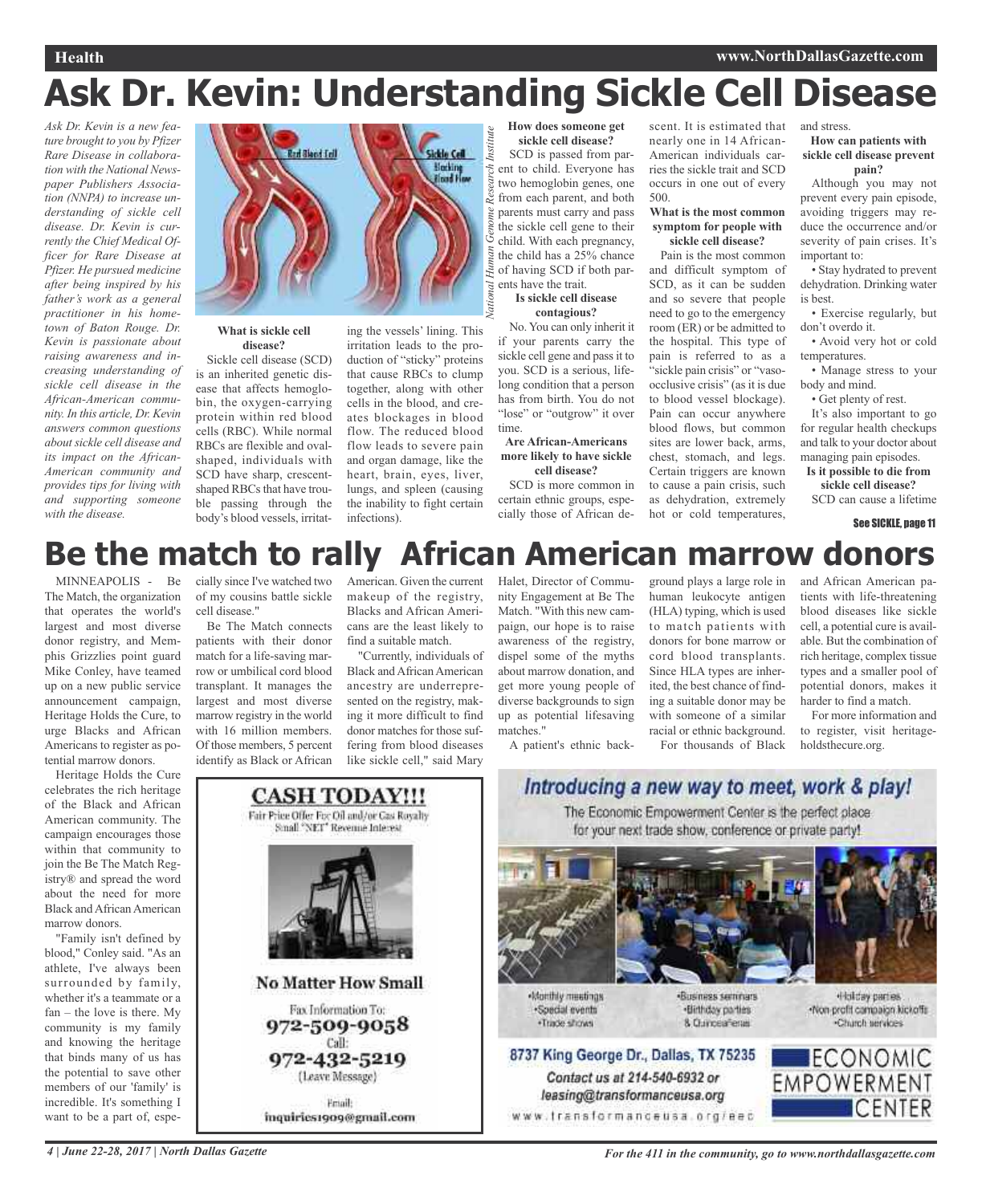# **Ask Dr. Kevin: Understanding Sickle Cell Disease**

*National Human Genome Research Institute*

*Ask Dr. Kevin is a new feature brought to you by Pfizer Rare Disease in collaboration with the National Newspaper Publishers Association (NNPA) to increase understanding of sickle cell disease. Dr. Kevin is currently the Chief Medical Officer for Rare Disease at Pfizer. He pursued medicine after being inspired by his father's work as a general practitioner in his hometown of Baton Rouge. Dr. Kevin is passionate about raising awareness and increasing understanding of sickle cell disease in the African-American community. In this article, Dr. Kevin answers common questions aboutsickle cell disease and its impact on the African-American community and provides tips for living with and supporting someone with the disease.*



#### **What is sickle cell disease?**

Sickle cell disease (SCD) is an inherited genetic disease that affects hemoglobin, the oxygen-carrying protein within red blood cells (RBC). While normal RBCs are flexible and ovalshaped, individuals with SCD have sharp, crescentshaped RBCs that have trouble passing through the body's blood vessels, irritat-

ing the vessels' lining. This irritation leads to the production of "sticky" proteins that cause RBCs to clump together, along with other cells in the blood, and creates blockages in blood flow. The reduced blood flow leads to severe pain and organ damage, like the heart, brain, eyes, liver, lungs, and spleen (causing the inability to fight certain infections).

#### **How does someone get sickle cell disease?**

SCD is passed from parent to child. Everyone has two hemoglobin genes, one from each parent, and both parents must carry and pass the sickle cell gene to their child. With each pregnancy, the child has a 25% chance of having SCD if both parents have the trait. **Is sickle cell disease**

**contagious?**

No. You can only inherit it if your parents carry the sickle cell gene and pass it to you. SCD is a serious, lifelong condition that a person has from birth. You do not "lose" or "outgrow" it over time.

**Are African-Americans more likely to have sickle cell disease?**

SCD is more common in certain ethnic groups, especially those of African de-

scent. It is estimated that and stress. nearly one in 14 African-American individuals carries the sickle trait and SCD occurs in one out of every 500.

#### **What is the most common symptom for people with sickle cell disease?**

Pain is the most common and difficult symptom of SCD, as it can be sudden and so severe that people need to go to the emergency room (ER) or be admitted to the hospital. This type of pain is referred to as a sickle pain crisis" or "vasoocclusive crisis" (as it is due to blood vessel blockage). Pain can occur anywhere blood flows, but common sites are lower back, arms, chest, stomach, and legs. Certain triggers are known to cause a pain crisis, such as dehydration, extremely hot or cold temperatures,

**How can patients with sickle cell disease prevent pain?**

Although you may not prevent every pain episode, avoiding triggers may reduce the occurrence and/or severity of pain crises. It's important to:

• Stay hydrated to prevent dehydration. Drinking water is best.

• Exercise regularly, but don't overdo it.

• Avoid very hot or cold temperatures.

• Manage stress to your body and mind. • Get plenty of rest.

It's also important to go for regular health checkups and talk to your doctor about

managing pain episodes. **Is it possible to die from**

**sickle cell disease?** SCD can cause a lifetime

See SICKLE, page 11

## **Be the match to rally African American marrow donors**

MINNEAPOLIS - Be The Match, the organization that operates the world's largest and most diverse donor registry, and Memphis Grizzlies point guard Mike Conley, have teamed up on a new public service announcement campaign, Heritage Holds the Cure, to urge Blacks and African Americans to register as potential marrow donors.

Heritage Holds the Cure celebrates the rich heritage of the Black and African American community. The campaign encourages those within that community to join the Be The Match Registry® and spread the word about the need for more Black and African American marrow donors.

"Family isn't defined by blood," Conley said. "As an athlete, I've always been surrounded by family, whether it's a teammate or a  $fan - the love is there. My$ community is my family and knowing the heritage that binds many of us has the potential to save other members of our 'family' is incredible. It's something I want to be a part of, especially since I've watched two of my cousins battle sickle cell disease."

Be The Match connects patients with their donor match for a life-saving marrow or umbilical cord blood transplant. It manages the largest and most diverse marrow registry in the world with 16 million members. Of those members, 5 percent identify as Black or African American. Given the current makeup of the registry, Blacks and African Americans are the least likely to find a suitable match.

"Currently, individuals of Black and African American ancestry are underrepresented on the registry, making it more difficult to find donor matches for those suffering from blood diseases like sickle cell," said Mary

Halet, Director of Community Engagement at Be The Match. "With this new campaign, our hope is to raise awareness of the registry, dispel some of the myths about marrow donation, and get more young people of diverse backgrounds to sign up as potential lifesaving matches."

A patient's ethnic back-

ground plays a large role in human leukocyte antigen (HLA) typing, which is used to match patients with donors for bone marrow or cord blood transplants. Since HLA types are inherited, the best chance of finding a suitable donor may be with someone of a similar racial or ethnic background.

For thousands of Black

and African American patients with life-threatening blood diseases like sickle cell, a potential cure is available. But the combination of rich heritage, complex tissue types and a smaller pool of potential donors, makes it harder to find a match.

For more information and to register, visit heritageholdsthecure.org.



Introducing a new way to meet, work & play! The Economic Empowerment Center is the perfect place for your next trade show, conference or private party!



·Business seminars ·Birthday parties 8. Curiceaferas



### ECONOMIC **EMPOWERMENT CENTER**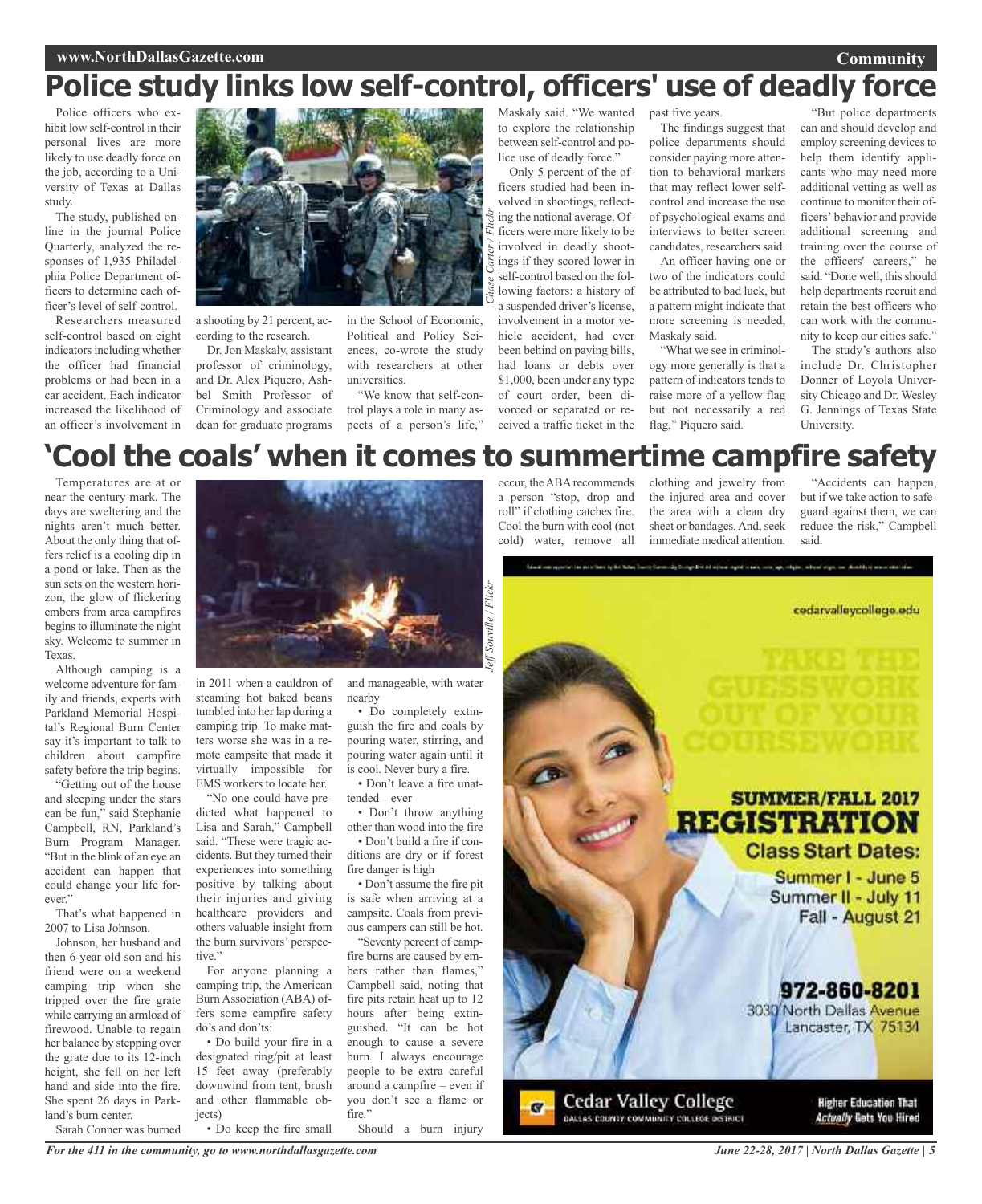#### **www.NorthDallasGazette.com**

## **Police study links low self-control, officers' use of deadly force**

*Chase Carter / Flickr*

Police officers who exhibit low self-control in their personal lives are more likely to use deadly force on the job, according to a University of Texas at Dallas study.

The study, published online in the journal Police Quarterly, analyzed the responses of 1,935 Philadelphia Police Department officers to determine each officer's level of self-control.

Researchers measured self-control based on eight indicators including whether the officer had financial problems or had been in a car accident. Each indicator increased the likelihood of an officer's involvement in

a shooting by 21 percent, according to the research.

Dr. Jon Maskaly, assistant professor of criminology, and Dr. Alex Piquero, Ashbel Smith Professor of Criminology and associate dean for graduate programs



universities. "We know that self-control plays a role in many aspects of a person's life," Maskaly said. "We wanted to explore the relationship between self-control and police use of deadly force."

Only 5 percent of the officers studied had been involved in shootings, reflecting the national average. Officers were more likely to be involved in deadly shootings if they scored lower in self-control based on the following factors: a history of a suspended driver's license, involvement in a motor vehicle accident, had ever been behind on paying bills, had loans or debts over \$1,000, been under any type of court order, been divorced or separated or received a traffic ticket in the

past five years.

The findings suggest that police departments should consider paying more attention to behavioral markers that may reflect lower selfcontrol and increase the use of psychological exams and interviews to better screen candidates, researchers said.

An officer having one or two of the indicators could be attributed to bad luck, but a pattern might indicate that more screening is needed, Maskaly said.

"What we see in criminology more generally is that a pattern of indicators tends to raise more of a yellow flag but not necessarily a red flag," Piquero said.

"But police departments can and should develop and employ screening devices to help them identify applicants who may need more additional vetting as well as continue to monitor their officers' behavior and provide additional screening and training over the course of the officers' careers," he said. "Done well, this should help departments recruit and retain the best officers who can work with the community to keep our cities safe."

**Community**

The study's authors also include Dr. Christopher Donner of Loyola University Chicago and Dr. Wesley G. Jennings of Texas State University.

## **'Cool the coals' when it comes to summertime campfire safety**

*Jeff Souville / Flickr*

Temperatures are at or near the century mark. The days are sweltering and the nights aren't much better. About the only thing that offers relief is a cooling dip in a pond or lake. Then as the sun sets on the western horizon, the glow of flickering embers from area campfires begins to illuminate the night sky. Welcome to summer in Texas.

Although camping is a welcome adventure for family and friends, experts with Parkland Memorial Hospital's Regional Burn Center say it's important to talk to children about campfire safety before the trip begins.

"Getting out of the house and sleeping under the stars can be fun," said Stephanie Campbell, RN, Parkland's Burn Program Manager. "But in the blink of an eye an accident can happen that could change your life forever."

That's what happened in 2007 to Lisa Johnson.

Johnson, her husband and then 6-year old son and his friend were on a weekend camping trip when she tripped over the fire grate while carrying an armload of firewood. Unable to regain her balance by stepping over the grate due to its 12-inch height, she fell on her left hand and side into the fire. She spent 26 days in Parkland's burn center.

Sarah Conner was burned



nearby

tended – ever

fire danger is high

• Do completely extinguish the fire and coals by pouring water, stirring, and pouring water again until it is cool. Never bury a fire. • Don't leave a fire unat-

• Don't throw anything other than wood into the fire • Don't build a fire if conditions are dry or if forest

• Don't assume the fire pit is safe when arriving at a campsite. Coals from previous campers can still be hot. "Seventy percent of campfire burns are caused by embers rather than flames," Campbell said, noting that fire pits retain heat up to 12 hours after being extinguished. "It can be hot enough to cause a severe burn. I always encourage people to be extra careful around a campfire – even if you don't see a flame or

in 2011 when a cauldron of steaming hot baked beans tumbled into her lap during a camping trip. To make matters worse she was in a remote campsite that made it virtually impossible for EMS workers to locate her.

"No one could have predicted what happened to Lisa and Sarah," Campbell said. "These were tragic accidents. But they turned their experiences into something positive by talking about their injuries and giving healthcare providers and others valuable insight from the burn survivors' perspective."

For anyone planning a camping trip, the American Burn Association (ABA) offers some campfire safety do's and don'ts:

• Do build your fire in a designated ring/pit at least 15 feet away (preferably downwind from tent, brush and other flammable objects) • Do keep the fire small

fire." Should a burn injury occur, the ABA recommends a person "stop, drop and roll" if clothing catches fire. Cool the burn with cool (not cold) water, remove all

clothing and jewelry from the injured area and cover the area with a clean dry sheet or bandages. And, seek immediate medical attention.

"Accidents can happen, but if we take action to safeguard against them, we can reduce the risk," Campbell said.



### **SUMMER/FALL 2017** REGISTRATION

**Class Start Dates:** 

Summer I - June 5 Summer II - July 11 Fall - August 21

### 972-860-8201

3030 North Dallas Avenue Lancaster, TX 75134

**Cedar Valley College** DALLAS COUNTY COMMUNITY COLLEGE DISTRICT

**Higher Education That Actually Gats You Hired** 

*For the 411 in the community, go to www.northdallasgazette.com*

*June 22-28, 2017 | North Dallas Gazette | 5*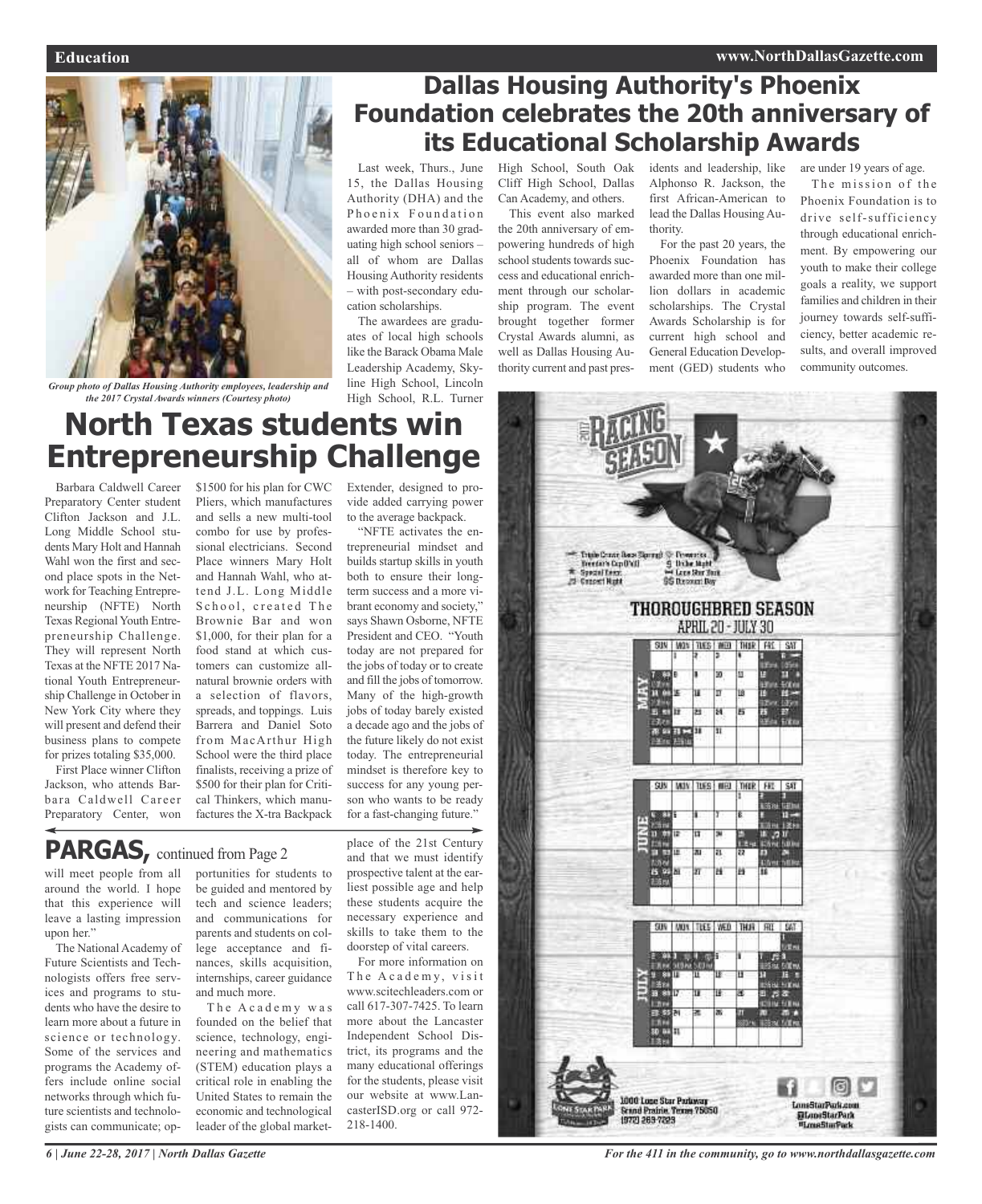

*Group photo of Dallas Housing Authority employees, leadership and the 2017 Crystal Awards winners (Courtesy photo)*

### **Dallas Housing Authority's Phoenix Foundation celebrates the 20th anniversary of its Educational Scholarship Awards**

15, the Dallas Housing Authority (DHA) and the Phoenix Foundation awarded more than 30 graduating high school seniors – all of whom are Dallas Housing Authority residents – with post-secondary education scholarships.

The awardees are graduates of local high schools like the Barack Obama Male Leadership Academy, Skyline High School, Lincoln High School, R.L. Turner

Last week, Thurs., June High School, South Oak Cliff High School, Dallas Can Academy, and others.

> This event also marked the 20th anniversary of empowering hundreds of high school students towards success and educational enrichment through our scholarship program. The event brought together former Crystal Awards alumni, as well as Dallas Housing Authority current and past pres

idents and leadership, like Alphonso R. Jackson, the first African-American to lead the Dallas Housing Authority.

For the past 20 years, the Phoenix Foundation has awarded more than one million dollars in academic scholarships. The Crystal Awards Scholarship is for current high school and General Education Development (GED) students who

are under 19 years of age.

The mission of the Phoenix Foundation is to drive self-sufficiency through educational enrichment. By empowering our youth to make their college goals a reality, we support families and children in their journey towards self-sufficiency, better academic results, and overall improved community outcomes.

### **North Texas students win Entrepreneurship Challenge**

Barbara Caldwell Career Preparatory Center student Clifton Jackson and J.L. Long Middle School students Mary Holt and Hannah Wahl won the first and second place spots in the Network for Teaching Entrepreneurship (NFTE) North Texas Regional Youth Entrepreneurship Challenge. They will represent North Texas at the NFTE 2017 National Youth Entrepreneurship Challenge in October in New York City where they will present and defend their business plans to compete for prizes totaling \$35,000.

First Place winner Clifton Jackson, who attends Barbara Caldwell Career Preparatory Center, won

Pliers, which manufactures and sells a new multi-tool combo for use by professional electricians. Second Place winners Mary Holt and Hannah Wahl, who attend J.L. Long Middle School, created The Brownie Bar and won \$1,000, for their plan for a food stand at which customers can customize allnatural brownie orders with a selection of flavors, spreads, and toppings. Luis Barrera and Daniel Soto from MacArthur High School were the third place finalists, receiving a prize of \$500 for their plan for Critical Thinkers, which manufactures the X-tra Backpack

\$1500 for his plan for CWC Extender, designed to provide added carrying power to the average backpack.

"NFTE activates the entrepreneurial mindset and builds startup skills in youth both to ensure their longterm success and a more vibrant economy and society," says Shawn Osborne, NFTE President and CEO. "Youth today are not prepared for the jobs of today or to create and fill the jobs of tomorrow. Many of the high-growth jobs of today barely existed a decade ago and the jobs of the future likely do not exist today. The entrepreneurial mindset is therefore key to success for any young person who wants to be ready for a fast-changing future."

### PARGAS, continued from Page 2

will meet people from all around the world. I hope that this experience will leave a lasting impression upon her."

The National Academy of Future Scientists and Technologists offers free services and programs to students who have the desire to learn more about a future in science or technology. Some of the services and programs the Academy offers include online social networks through which future scientists and technologists can communicate; op-

portunities for students to be guided and mentored by tech and science leaders; and communications for parents and students on college acceptance and finances, skills acquisition, internships, career guidance and much more.

The Academy was founded on the belief that science, technology, engineering and mathematics (STEM) education plays a critical role in enabling the United States to remain the economic and technological leader of the global marketplace of the 21st Century and that we must identify prospective talent at the earliest possible age and help these students acquire the necessary experience and skills to take them to the doorstep of vital careers.

For more information on The Academy, visit www.scitechleaders.com or call 617-307-7425. To learn more about the Lancaster Independent School District, its programs and the many educational offerings for the students, please visit our website at www.LancasterISD.org or call 972- 218-1400.



*For the 411 in the community, go to www.northdallasgazette.com*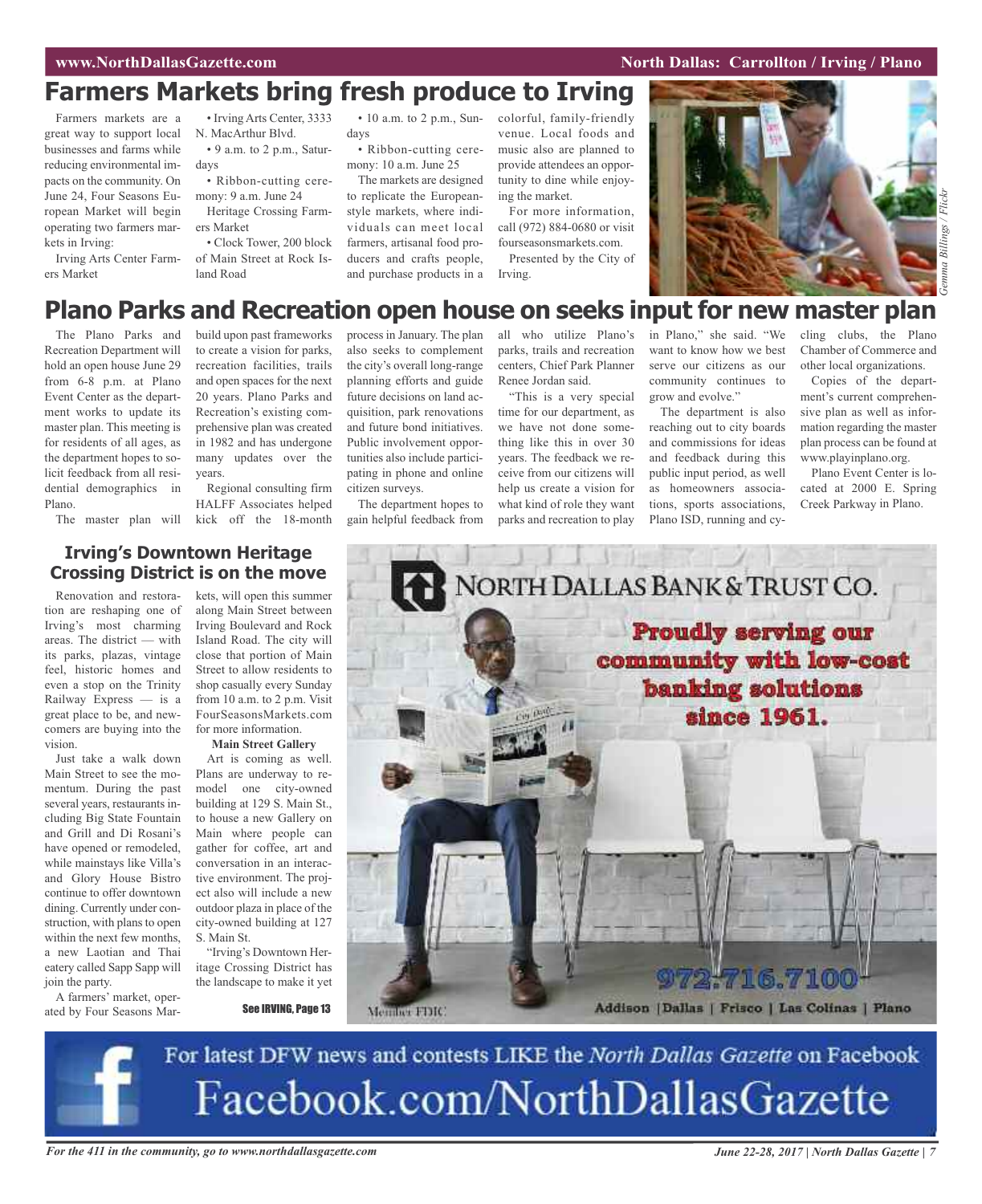#### **WAWRIGHT WAS SEXUAL SEXUAL SEXUAL SEXUAL SEXUAL SEXUAL SEXUAL SEXUAL SEXUAL SEXUAL SEXUAL SEXUAL SEXUAL SEXUAL SE**

### **Farmers Markets bring fresh produce to Irving**

Farmers markets are a great way to support local businesses and farms while reducing environmental impacts on the community. On June 24, Four Seasons European Market will begin operating two farmers markets in Irving:

Irving Arts Center Farmers Market

• Irving Arts Center, 3333 N. MacArthur Blvd. • 9 a.m. to 2 p.m., Satur-

days • Ribbon-cutting cere-

mony: 9 a.m. June 24 Heritage Crossing Farm-

ers Market • Clock Tower, 200 block

of Main Street at Rock Island Road

days

• Ribbon-cutting ceremony: 10 a.m. June 25

The markets are designed to replicate the Europeanstyle markets, where individuals can meet local farmers, artisanal food producers and crafts people, and purchase products in a

• 10 a.m. to 2 p.m., Sun- colorful, family-friendly venue. Local foods and music also are planned to provide attendees an opportunity to dine while enjoying the market.

> For more information, call (972) 884-0680 or visit fourseasonsmarkets.com. Presented by the City of

Irving.



### **Plano Parks and Recreation open house on seeks input for new master plan**

The Plano Parks and Recreation Department will hold an open house June 29 from 6-8 p.m. at Plano Event Center as the department works to update its master plan. This meeting is for residents of all ages, as the department hopes to solicit feedback from all residential demographics in Plano.

The master plan will

build upon past frameworks to create a vision for parks, recreation facilities, trails and open spaces for the next 20 years. Plano Parks and Recreation's existing comprehensive plan was created in 1982 and has undergone many updates over the years.

Regional consulting firm HALFF Associates helped kick off the 18-month

#### **Irving's Downtown Heritage Crossing District is on the move**

Renovation and restoration are reshaping one of Irving's most charming areas. The district — with its parks, plazas, vintage feel, historic homes and even a stop on the Trinity Railway Express — is a great place to be, and newcomers are buying into the vision.

Just take a walk down Main Street to see the momentum. During the past several years, restaurants including Big State Fountain and Grill and Di Rosani's have opened or remodeled, while mainstays like Villa's and Glory House Bistro continue to offer downtown dining. Currently under construction, with plans to open within the next few months, a new Laotian and Thai eatery called Sapp Sapp will join the party.

A farmers' market, operated by Four Seasons Mar-

kets, will open this summer along Main Street between Irving Boulevard and Rock Island Road. The city will close that portion of Main Street to allow residents to shop casually every Sunday from 10 a.m. to 2 p.m. Visit FourSeasonsMarkets.com for more information.

#### **Main Street Gallery**

Art is coming as well. Plans are underway to remodel one city-owned building at 129 S. Main St., to house a new Gallery on Main where people can gather for coffee, art and conversation in an interactive environment. The project also will include a new outdoor plaza in place of the city-owned building at 127 S. Main St.

"Irving's Downtown Heritage Crossing District has the landscape to make it yet

See IRVING, Page 13

process in January. The plan also seeks to complement the city's overall long-range planning efforts and guide future decisions on land acquisition, park renovations and future bond initiatives. Public involvement opportunities also include participating in phone and online citizen surveys.

The department hopes to gain helpful feedback from all who utilize Plano's parks, trails and recreation centers, Chief Park Planner Renee Jordan said.

"This is a very special time for our department, as we have not done something like this in over 30 years. The feedback we receive from our citizens will help us create a vision for what kind of role they want parks and recreation to play

in Plano," she said. "We want to know how we best serve our citizens as our community continues to grow and evolve."

The department is also reaching out to city boards and commissions for ideas and feedback during this public input period, as well as homeowners associations, sports associations, Plano ISD, running and cycling clubs, the Plano Chamber of Commerce and other local organizations.

Copies of the department's current comprehensive plan as well as information regarding the master plan process can be found at www.playinplano.org.

Plano Event Center is located at 2000 E. Spring Creek Parkway in Plano.



For latest DFW news and contests LIKE the North Dallas Gazette on Facebook Facebook.com/NorthDallasGazette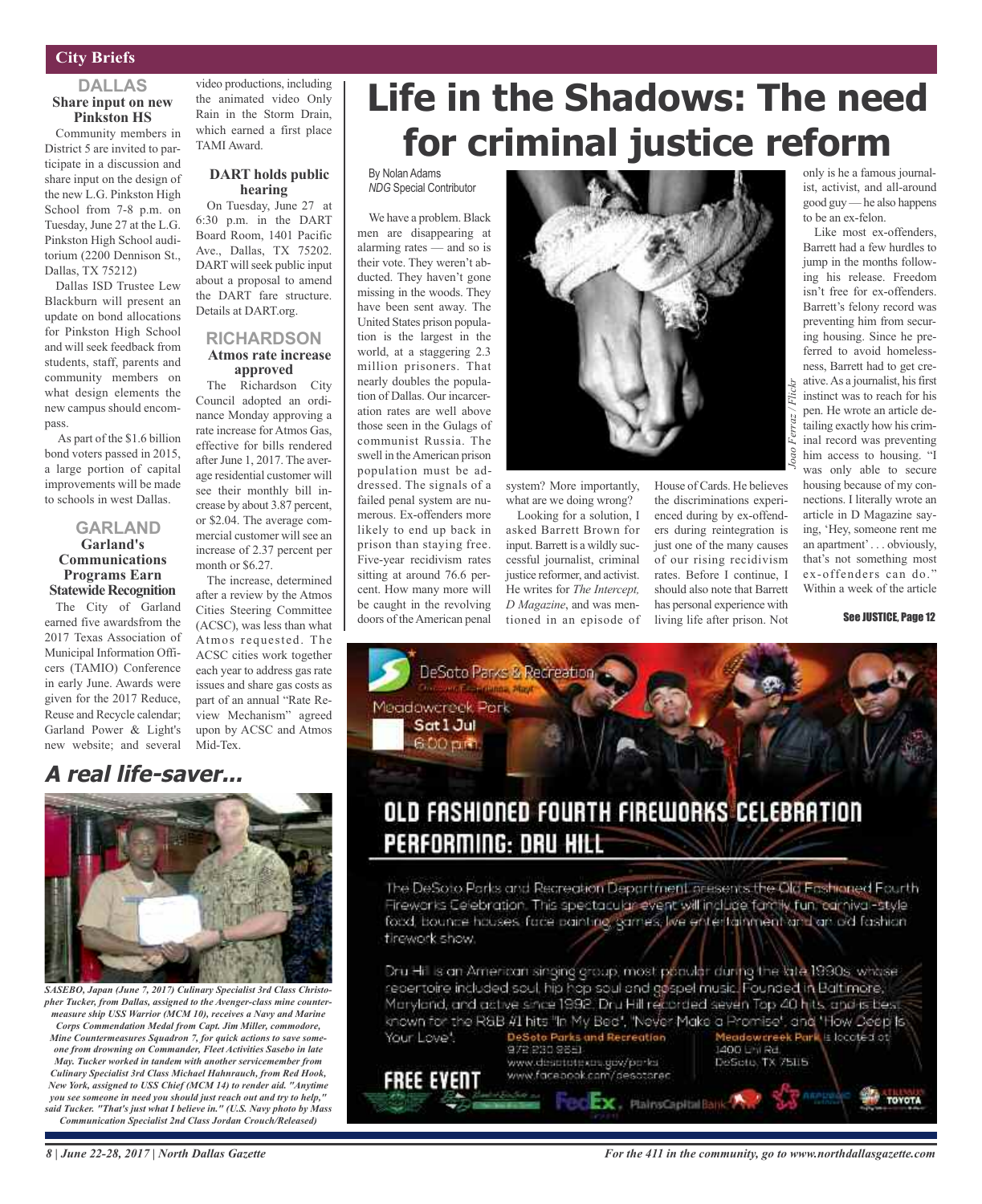#### **City Briefs**

#### **DALLAS Share input on new Pinkston HS**

Community members in District 5 are invited to participate in a discussion and share input on the design of the new L.G. Pinkston High School from 7-8 p.m. on Tuesday, June 27 at the L.G. Pinkston High School auditorium (2200 Dennison St., Dallas, TX 75212)

Dallas ISD Trustee Lew Blackburn will present an update on bond allocations for Pinkston High School and will seek feedback from students, staff, parents and community members on what design elements the new campus should encompass.

As part of the \$1.6 billion bond voters passed in 2015, a large portion of capital improvements will be made to schools in west Dallas.

#### **GARLAND Garland's Communications Programs Earn Statewide Recognition**

The City of Garland earned five awardsfrom the 2017 Texas Association of Municipal Information Officers (TAMIO) Conference in early June. Awards were given for the 2017 Reduce, Reuse and Recycle calendar; Garland Power & Light's new website; and several

video productions, including the animated video Only Rain in the Storm Drain, which earned a first place TAMI Award.

#### **DART holds public hearing**

On Tuesday, June 27 at 6:30 p.m. in the DART Board Room, 1401 Pacific Ave., Dallas, TX 75202. DART will seek public input about a proposal to amend the DART fare structure. Details at DART.org.

#### **RICHARDSON Atmos rate increase approved**

The Richardson City Council adopted an ordinance Monday approving a rate increase for Atmos Gas, effective for bills rendered after June 1, 2017. The average residential customer will see their monthly bill increase by about 3.87 percent, or \$2.04. The average commercial customer will see an increase of 2.37 percent per month or \$6.27.

The increase, determined after a review by the Atmos Cities Steering Committee (ACSC), was less than what Atmos requested. The ACSC cities work together each year to address gas rate issues and share gas costs as part of an annual "Rate Review Mechanism" agreed upon by ACSC and Atmos Mid-Tex.

### **A real life-saver...**



*SASEBO, Japan (June 7, 2017) Culinary Specialist 3rd Class Christopher Tucker, from Dallas, assigned to the Avenger-class mine countermeasure ship USS Warrior (MCM 10), receives a Navy and Marine Corps Commendation Medal from Capt. Jim Miller, commodore, Mine Countermeasures Squadron 7, for quick actions to save someone from drowning on Commander, Fleet Activities Sasebo in late May. Tucker worked in tandem with another servicemember from Culinary Specialist 3rd Class Michael Hahnrauch, from Red Hook, New York, assigned to USS Chief (MCM 14) to render aid. "Anytime you see someone in need you should just reach out and try to help," said Tucker. "That's just what I believe in." (U.S. Navy photo by Mass Communication Specialist 2nd Class Jordan Crouch/Released)*

**Life in the Shadows: The need for criminal justice reform**

By Nolan Adams *NDG* Special Contributor

We have a problem. Black men are disappearing at alarming rates — and so is their vote. They weren't abducted. They haven't gone missing in the woods. They have been sent away. The United States prison population is the largest in the world, at a staggering 2.3 million prisoners. That nearly doubles the population of Dallas. Our incarceration rates are well above those seen in the Gulags of communist Russia. The swell in theAmerican prison population must be addressed. The signals of a failed penal system are numerous. Ex-offenders more likely to end up back in prison than staying free. Five-year recidivism rates sitting at around 76.6 percent. How many more will be caught in the revolving doors of theAmerican penal



system? More importantly, what are we doing wrong?

Looking for a solution, I asked Barrett Brown for input. Barrett is a wildly successful journalist, criminal justice reformer, and activist. He writes for *The Intercept, D Magazine*, and was mentioned in an episode of

House of Cards. He believes the discriminations experienced during by ex-offenders during reintegration is just one of the many causes of our rising recidivism rates. Before I continue, I should also note that Barrett has personal experience with living life after prison. Not

only is he a famous journalist, activist, and all-around good guy — he also happens to be an ex-felon.

Like most ex-offenders, Barrett had a few hurdles to jump in the months following his release. Freedom isn't free for ex-offenders. Barrett's felony record was preventing him from securing housing. Since he preferred to avoid homelessness, Barrett had to get creative. As a journalist, his first instinct was to reach for his pen. He wrote an article detailing exactly how his criminal record was preventing him access to housing. "I was only able to secure housing because of my connections. I literally wrote an article in D Magazine saying, 'Hey, someone rent me an apartment'. . . obviously, that's not something most ex-offenders can do." Within a week of the article

See JUSTICE, Page 12



### OLD FASHIONED FOURTH FIREWORKS CELEBRATION **PERFORMING: DRU HILL**

The DeSoto Parks and Recreation Department gensents the Old Eastwaged Fourth Fireworks Celebration. This spectacular event will include family fun, carnival-style food, bounce houses face painting games, live entertainment and an old fashion. tirework show.

Dru Hill is an American singing group, most popular during the kite 1990s, whase repertoire included soul, hip hop soul and gaspel music. Founded in Baltimore,<br>Maryland, and active since 1992. Dru Hill recorded seven Top 40 hits, and is best known for the R&B 41 hits "In My Bed", "Never Make a Promise", and "How Deep Is"

DeSoto Parks and Recreation<br>972 230 365) Meadowcreek Park is located of:<br>1400 Livi Rd. Your Love! www.desiptotexpu.gov/porks DeScto, TX 75115 www.facebook.com/desotbrec **FREE EVENT** TOYOTA **BCLX** PlainsCapital Bank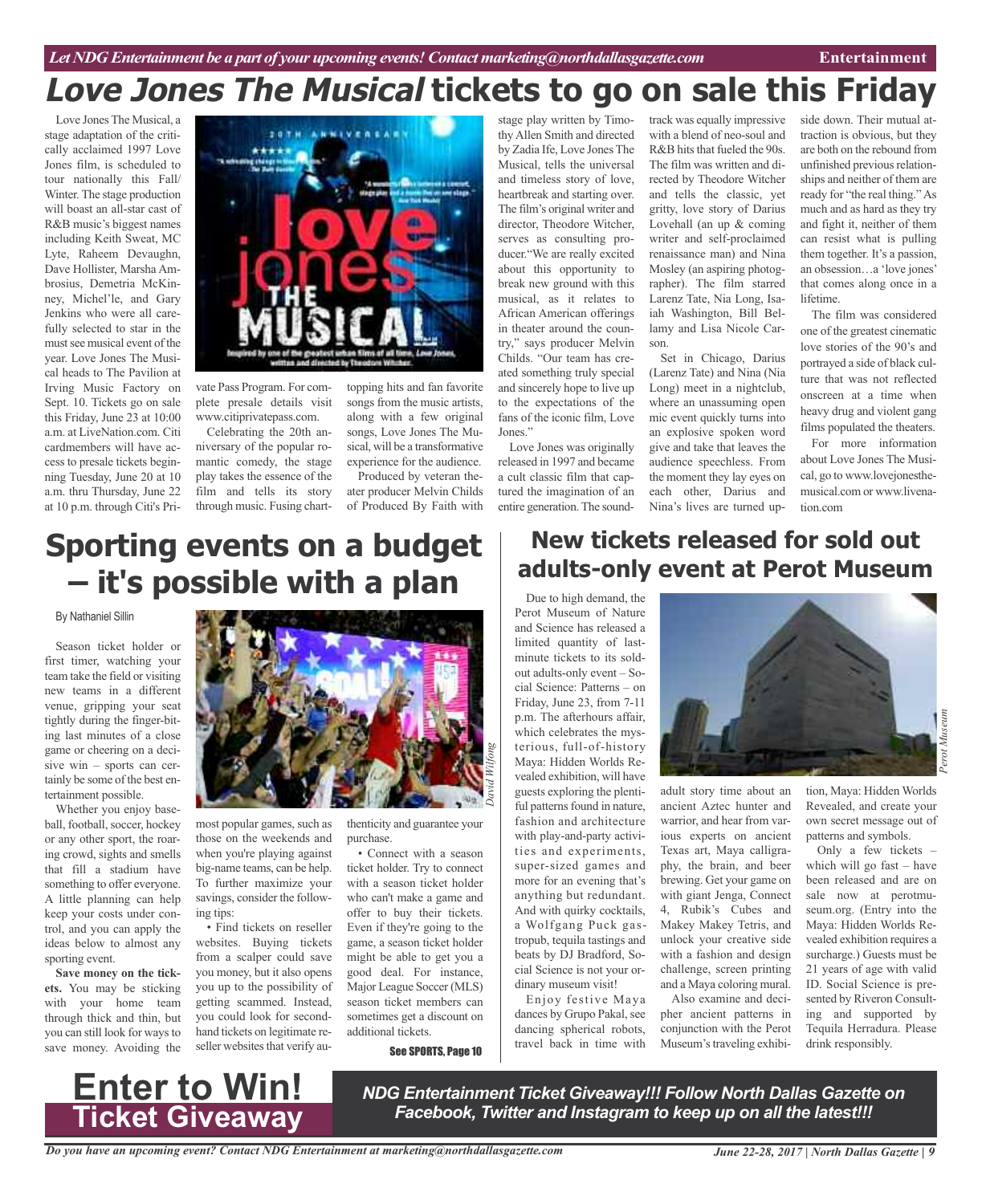## **Love Jones The Musical tickets to go on sale this Friday**

Love Jones The Musical, a stage adaptation of the critically acclaimed 1997 Love Jones film, is scheduled to tour nationally this Fall/ Winter. The stage production will boast an all-star cast of R&B music's biggest names including Keith Sweat, MC Lyte, Raheem Devaughn, Dave Hollister, Marsha Ambrosius, Demetria McKinney, Michel'le, and Gary Jenkins who were all carefully selected to star in the mustsee musical event of the year. Love Jones The Musical heads to The Pavilion at Irving Music Factory on Sept. 10. Tickets go on sale this Friday, June 23 at 10:00 a.m. at LiveNation.com. Citi cardmembers will have access to presale tickets beginning Tuesday, June 20 at 10 a.m. thru Thursday, June 22 at 10 p.m. through Citi's Pri-



vate Pass Program. For complete presale details visit www.citiprivatepass.com.

Celebrating the 20th anniversary of the popular romantic comedy, the stage play takes the essence of the film and tells its story through music. Fusing charttopping hits and fan favorite songs from the music artists, along with a few original songs, Love Jones The Musical, will be a transformative experience for the audience.

Produced by veteran theater producer Melvin Childs of Produced By Faith with stage play written by TimothyAllen Smith and directed by Zadia Ife, Love Jones The Musical, tells the universal and timeless story of love, heartbreak and starting over. The film's original writer and director, Theodore Witcher, serves as consulting producer."We are really excited about this opportunity to break new ground with this musical, as it relates to African American offerings in theater around the country," says producer Melvin Childs. "Our team has created something truly special and sincerely hope to live up to the expectations of the fans of the iconic film, Love Jones."

Love Jones was originally released in 1997 and became a cult classic film that captured the imagination of an entire generation. The soundtrack was equally impressive with a blend of neo-soul and R&B hits that fueled the 90s. The film was written and directed by Theodore Witcher and tells the classic, yet gritty, love story of Darius Lovehall (an up & coming writer and self-proclaimed renaissance man) and Nina Mosley (an aspiring photographer). The film starred Larenz Tate, Nia Long, Isaiah Washington, Bill Bellamy and Lisa Nicole Carson.

Set in Chicago, Darius (Larenz Tate) and Nina (Nia Long) meet in a nightclub, where an unassuming open mic event quickly turns into an explosive spoken word give and take that leaves the audience speechless. From the moment they lay eyes on each other, Darius and Nina's lives are turned upside down. Their mutual attraction is obvious, but they are both on the rebound from unfinished previous relationships and neither of them are ready for "the real thing."As much and as hard as they try and fight it, neither of them can resist what is pulling them together. It's a passion, an obsession…a 'love jones' that comes along once in a lifetime.

The film was considered one of the greatest cinematic love stories of the 90's and portrayed a side of black culture that was not reflected onscreen at a time when heavy drug and violent gang films populated the theaters.

For more information about Love Jones The Musical, go to www.lovejonesthemusical.com or www.livenation.com

### **New tickets released for sold out adults-only event at Perot Museum**

Due to high demand, the Perot Museum of Nature and Science has released a limited quantity of lastminute tickets to its soldout adults-only event – Social Science: Patterns – on Friday, June 23, from 7-11 p.m. The afterhours affair, which celebrates the mysterious, full-of-history Maya: Hidden Worlds Revealed exhibition, will have guests exploring the plentiful patterns found in nature, fashion and architecture with play-and-party activities and experiments, super-sized games and more for an evening that's anything but redundant. And with quirky cocktails, a Wolfgang Puck gastropub, tequila tastings and beats by DJ Bradford, Social Science is not your ordinary museum visit!

Enjoy festive Maya dances by Grupo Pakal, see dancing spherical robots, travel back in time with



adult story time about an ancient Aztec hunter and warrior, and hear from various experts on ancient Texas art, Maya calligraphy, the brain, and beer brewing. Get your game on with giant Jenga, Connect 4, Rubik's Cubes and Makey Makey Tetris, and unlock your creative side with a fashion and design challenge, screen printing and a Maya coloring mural.

Also examine and decipher ancient patterns in conjunction with the Perot Museum's traveling exhibition, Maya: Hidden Worlds Revealed, and create your own secret message out of patterns and symbols.

Only a few tickets – which will go fast – have been released and are on sale now at perotmuseum.org. (Entry into the Maya: Hidden Worlds Revealed exhibition requires a surcharge.) Guests must be 21 years of age with valid ID. Social Science is presented by Riveron Consulting and supported by Tequila Herradura. Please drink responsibly.

## **Sporting events on a budget – it's possible with a plan**

#### By Nathaniel Sillin

Season ticket holder or first timer, watching your team take the field or visiting new teams in a different venue, gripping your seat tightly during the finger-biting last minutes of a close game or cheering on a decisive win – sports can certainly be some of the best entertainment possible.

Whether you enjoy baseball, football, soccer, hockey or any other sport, the roaring crowd, sights and smells that fill a stadium have something to offer everyone. A little planning can help keep your costs under control, and you can apply the ideas below to almost any sporting event.

**Save money on the tickets.** You may be sticking with your home team through thick and thin, but you can still look for waysto save money. Avoiding the



most popular games, such as those on the weekends and when you're playing against big-name teams, can be help. To further maximize your savings, consider the following tips:

• Find tickets on reseller websites. Buying tickets from a scalper could save you money, but it also opens you up to the possibility of getting scammed. Instead, you could look for secondhand tickets on legitimate reseller websites that verify au-

thenticity and guarantee your purchase.

• Connect with a season ticket holder. Try to connect with a season ticket holder who can't make a game and offer to buy their tickets. Even if they're going to the game, a season ticket holder might be able to get you a good deal. For instance, Major League Soccer (MLS) season ticket members can sometimes get a discount on additional tickets.

See SPORTS, Page 10



*NDG Entertainment Ticket Giveaway!!! Follow North Dallas Gazette on Facebook, Twitter and Instagram to keep up on all the latest!!!*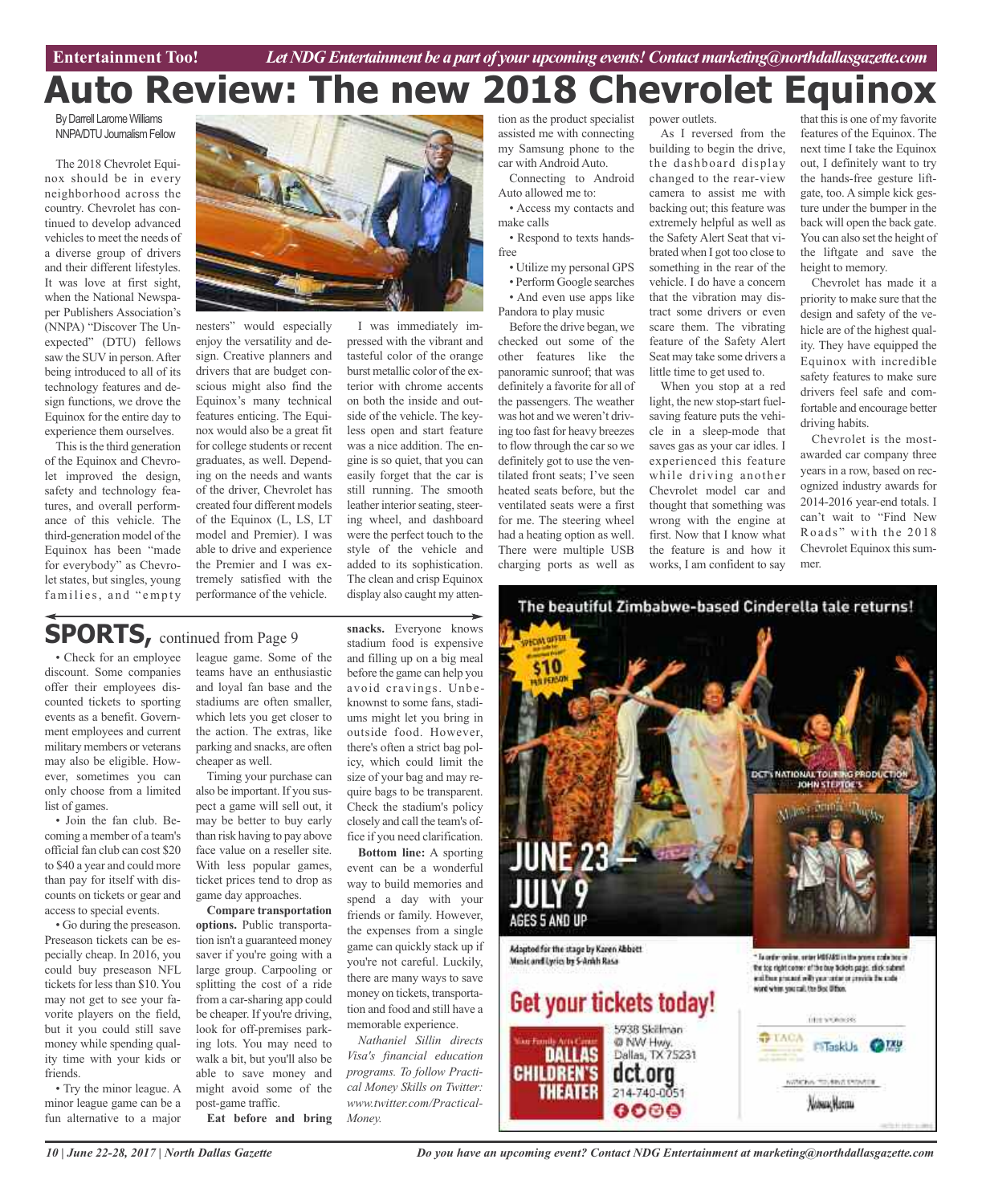# **Auto Review: The new 2018 Chevrolet Equinox**

ByDarrell LaromeWilliams NNPA/DTU Journalism Fellow

The 2018 Chevrolet Equinox should be in every neighborhood across the country. Chevrolet has continued to develop advanced vehicles to meet the needs of a diverse group of drivers and their different lifestyles. It was love at first sight, when the National Newspaper Publishers Association's (NNPA) "Discover The Unexpected" (DTU) fellows saw the SUV in person.After being introduced to all of its technology features and design functions, we drove the Equinox for the entire day to experience them ourselves.

This is the third generation of the Equinox and Chevrolet improved the design, safety and technology features, and overall performance of this vehicle. The third-generation model of the Equinox has been "made for everybody" as Chevrolet states, but singles, young families, and "empty



nesters" would especially enjoy the versatility and design. Creative planners and drivers that are budget conscious might also find the Equinox's many technical features enticing. The Equinox would also be a great fit for college students or recent graduates, as well. Depending on the needs and wants of the driver, Chevrolet has created four different models of the Equinox (L, LS, LT model and Premier). I was able to drive and experience the Premier and I was extremely satisfied with the performance of the vehicle.

I was immediately impressed with the vibrant and tasteful color of the orange burst metallic color of the exterior with chrome accents on both the inside and outside of the vehicle. The keyless open and start feature was a nice addition. The engine is so quiet, that you can easily forget that the car is still running. The smooth leather interior seating, steering wheel, and dashboard were the perfect touch to the style of the vehicle and added to its sophistication. The clean and crisp Equinox display also caught my atten-

### SPORTS, continued from Page 9

• Check for an employee discount. Some companies offer their employees discounted tickets to sporting events as a benefit. Government employees and current military members or veterans may also be eligible. However, sometimes you can only choose from a limited list of games.

• Join the fan club. Becoming a member of a team's official fan club can cost \$20 to \$40 a year and could more than pay for itself with discounts on tickets or gear and access to special events.

• Go during the preseason. Preseason tickets can be especially cheap. In 2016, you could buy preseason NFL tickets for less than \$10. You may not get to see your favorite players on the field, but it you could still save money while spending quality time with your kids or friends.

• Try the minor league. A minor league game can be a fun alternative to a major

league game. Some of the teams have an enthusiastic and loyal fan base and the stadiums are often smaller, which lets you get closer to the action. The extras, like parking and snacks, are often cheaper as well.

Timing your purchase can also be important. If you suspect a game will sell out, it may be better to buy early than risk having to pay above face value on a reseller site. With less popular games, ticket prices tend to drop as game day approaches.

**Compare transportation options.** Public transportation isn't a guaranteed money saver if you're going with a large group. Carpooling or splitting the cost of a ride from a car-sharing app could be cheaper. If you're driving, look for off-premises parking lots. You may need to walk a bit, but you'll also be able to save money and might avoid some of the post-game traffic. **Eat before and bring** **snacks.** Everyone knows stadium food is expensive and filling up on a big meal before the game can help you avoid cravings. Unbeknownst to some fans, stadiums might let you bring in outside food. However, there's often a strict bag policy, which could limit the size of your bag and may require bags to be transparent. Check the stadium's policy closely and call the team's office if you need clarification.

**Bottom line:** A sporting event can be a wonderful way to build memories and spend a day with your friends or family. However, the expenses from a single game can quickly stack up if you're not careful. Luckily, there are many ways to save money on tickets, transportation and food and still have a memorable experience.

*Nathaniel Sillin directs Visa's financial education programs. To follow Practical Money Skills on Twitter: www.twitter.com/Practical-Money.*

tion as the product specialist assisted me with connecting my Samsung phone to the car with Android Auto.

Connecting to Android Auto allowed me to: • Access my contacts and

make calls • Respond to texts hands-

free

• Utilize my personal GPS

• Perform Google searches • And even use apps like

Pandora to play music Before the drive began, we checked out some of the other features like the panoramic sunroof; that was definitely a favorite for all of the passengers. The weather was hot and we weren't driving too fast for heavy breezes to flow through the carso we definitely got to use the ventilated front seats; I've seen heated seats before, but the ventilated seats were a first for me. The steering wheel had a heating option as well. There were multiple USB charging ports as well as

power outlets.

As I reversed from the building to begin the drive, the dashboard display changed to the rear-view camera to assist me with backing out; this feature was extremely helpful as well as the Safety Alert Seat that vibrated when I got too close to something in the rear of the vehicle. I do have a concern that the vibration may distract some drivers or even scare them. The vibrating feature of the Safety Alert Seat may take some drivers a little time to get used to.

When you stop at a red light, the new stop-start fuelsaving feature puts the vehicle in a sleep-mode that saves gas as your car idles. I experienced this feature while driving another Chevrolet model car and thought that something was wrong with the engine at first. Now that I know what the feature is and how it works, I am confident to say

that this is one of my favorite features of the Equinox. The next time I take the Equinox out, I definitely want to try the hands-free gesture liftgate, too. A simple kick gesture under the bumper in the back will open the back gate. You can also set the height of the liftgate and save the height to memory.

Chevrolet has made it a priority to make sure that the design and safety of the vehicle are of the highest quality. They have equipped the Equinox with incredible safety features to make sure drivers feel safe and comfortable and encourage better driving habits.

Chevrolet is the mostawarded car company three years in a row, based on recognized industry awards for 2014-2016 year-end totals. I can't wait to "Find New Roads" with the 2018 Chevrolet Equinox this summer.



*Do you have an upcoming event? Contact NDG Entertainment at marketing@northdallasgazette.com*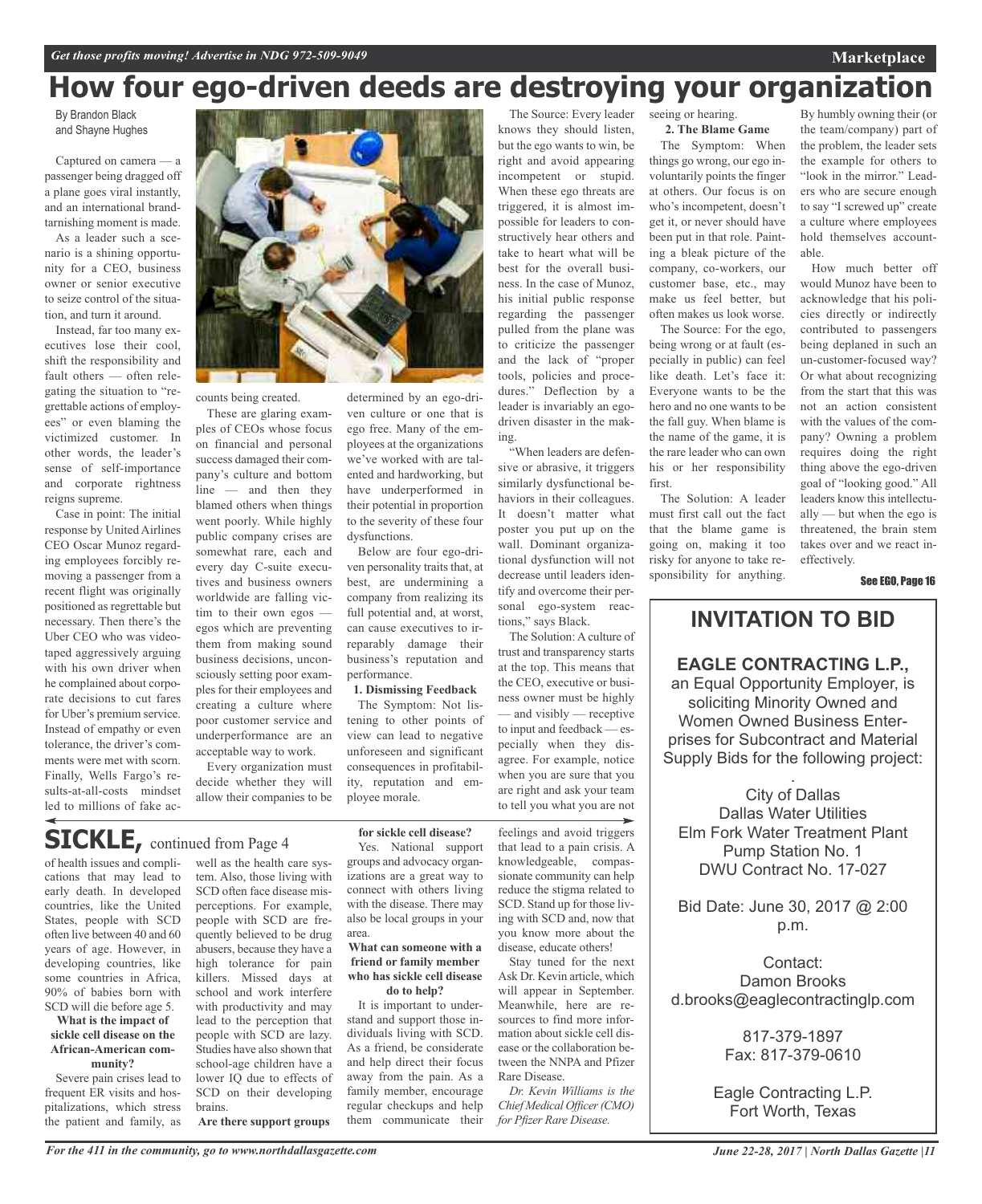## **How four ego-driven deeds are destroying your organization**

By Brandon Black and Shayne Hughes

Captured on camera — a passenger being dragged off a plane goes viral instantly, and an international brandtarnishing moment is made.

As a leader such a scenario is a shining opportunity for a CEO, business owner or senior executive to seize control of the situation, and turn it around.

Instead, far too many executives lose their cool, shift the responsibility and fault others — often relegating the situation to "regrettable actions of employees" or even blaming the victimized customer. In other words, the leader's sense of self-importance and corporate rightness reigns supreme.

Case in point: The initial response by United Airlines CEO Oscar Munoz regarding employees forcibly removing a passenger from a recent flight was originally positioned as regrettable but necessary. Then there's the Uber CEO who was videotaped aggressively arguing with his own driver when he complained about corporate decisions to cut fares for Uber's premium service. Instead of empathy or even tolerance, the driver's comments were met with scorn. Finally, Wells Fargo's results-at-all-costs mindset led to millions of fake ac-



counts being created.

These are glaring examples of CEOs whose focus on financial and personal success damaged their company's culture and bottom line — and then they blamed others when things went poorly. While highly public company crises are somewhat rare, each and every day C-suite executives and business owners worldwide are falling victim to their own egos egos which are preventing them from making sound business decisions, unconsciously setting poor examples for their employees and creating a culture where poor customer service and underperformance are an acceptable way to work.

Every organization must decide whether they will allow their companies to be

determined by an ego-driven culture or one that is ego free. Many of the employees at the organizations we've worked with are talented and hardworking, but have underperformed in their potential in proportion to the severity of these four dysfunctions.

Below are four ego-driven personality traits that, at best, are undermining a company from realizing its full potential and, at worst, can cause executives to irreparably damage their business's reputation and performance.

**1. Dismissing Feedback** The Symptom: Not listening to other points of view can lead to negative unforeseen and significant consequences in profitability, reputation and employee morale.

**SICKLE,** continued from Page <sup>4</sup>

of health issues and complications that may lead to early death. In developed countries, like the United States, people with SCD often live between 40 and 60 years of age. However, in developing countries, like some countries in Africa, 90% of babies born with SCD will die before age 5.

#### **What is the impact of sickle cell disease on the African-American community?**

Severe pain crises lead to frequent ER visits and hospitalizations, which stress the patient and family, as well as the health care system. Also, those living with SCD often face disease misperceptions. For example, people with SCD are frequently believed to be drug abusers, because they have a high tolerance for pain killers. Missed days at school and work interfere with productivity and may lead to the perception that people with SCD are lazy. Studies have also shown that school-age children have a lower IQ due to effects of SCD on their developing brains. **Are there support groups**

Yes. National support groups and advocacy organizations are a great way to connect with others living with the disease. There may also be local groups in your area.

#### **What can someone with a friend or family member who has sickle cell disease do to help?**

It is important to understand and support those individuals living with SCD. As a friend, be considerate and help direct their focus away from the pain. As a family member, encourage regular checkups and help them communicate their knows they should listen, but the ego wants to win, be right and avoid appearing incompetent or stupid. When these ego threats are triggered, it is almost impossible for leaders to constructively hear others and take to heart what will be best for the overall business. In the case of Munoz, his initial public response regarding the passenger pulled from the plane was to criticize the passenger and the lack of "proper tools, policies and procedures." Deflection by a leader is invariably an egodriven disaster in the making.

The Source: Every leader

"When leaders are defensive or abrasive, it triggers similarly dysfunctional behaviors in their colleagues. It doesn't matter what poster you put up on the wall. Dominant organizational dysfunction will not decrease until leaders identify and overcome their personal ego-system reactions," says Black.

The Solution: A culture of trust and transparency starts at the top. This means that the CEO, executive or business owner must be highly — and visibly — receptive to input and feedback — especially when they disagree. For example, notice when you are sure that you are right and ask your team to tell you what you are not

**for sickle cell disease?**

feelings and avoid triggers that lead to a pain crisis. A knowledgeable, compassionate community can help reduce the stigma related to SCD. Stand up for those living with SCD and, now that you know more about the disease, educate others!

Stay tuned for the next Ask Dr. Kevin article, which will appear in September. Meanwhile, here are resources to find more information about sickle cell disease or the collaboration between the NNPA and Pfizer Rare Disease.

*Dr. Kevin Williams is the Chief Medical Officer(CMO) for Pfizer Rare Disease.*

seeing or hearing. **2. The Blame Game**

The Symptom: When things go wrong, our ego involuntarily points the finger at others. Our focus is on who's incompetent, doesn't get it, or never should have been put in that role. Painting a bleak picture of the company, co-workers, our customer base, etc., may make us feel better, but often makes us look worse.

The Source: For the ego, being wrong or at fault (especially in public) can feel like death. Let's face it: Everyone wants to be the hero and no one wants to be the fall guy. When blame is the name of the game, it is the rare leader who can own his or her responsibility first.

The Solution: A leader must first call out the fact that the blame game is going on, making it too risky for anyone to take responsibility for anything.

By humbly owning their (or the team/company) part of the problem, the leader sets the example for others to "look in the mirror." Leaders who are secure enough to say "I screwed up" create a culture where employees hold themselves accountable.

**Marketplace**

How much better off would Munoz have been to acknowledge that his policies directly or indirectly contributed to passengers being deplaned in such an un-customer-focused way? Or what about recognizing from the start that this was not an action consistent with the values of the company? Owning a problem requires doing the right thing above the ego-driven goal of "looking good." All leaders know this intellectually — but when the ego is threatened, the brain stem takes over and we react ineffectively.

#### See EGO, Page 16

### **INVITATION TO BID**

**EAGLE CONTRACTING L.P.,** an Equal Opportunity Employer, is soliciting Minority Owned and Women Owned Business Enterprises for Subcontract and Material Supply Bids for the following project:

City of Dallas Dallas Water Utilities Elm Fork Water Treatment Plant Pump Station No. 1 DWU Contract No. 17-027

.

Bid Date: June 30, 2017 @ 2:00 p.m.

Contact: Damon Brooks d.brooks@eaglecontractinglp.com

> 817-379-1897 Fax: 817-379-0610

Eagle Contracting L.P. Fort Worth, Texas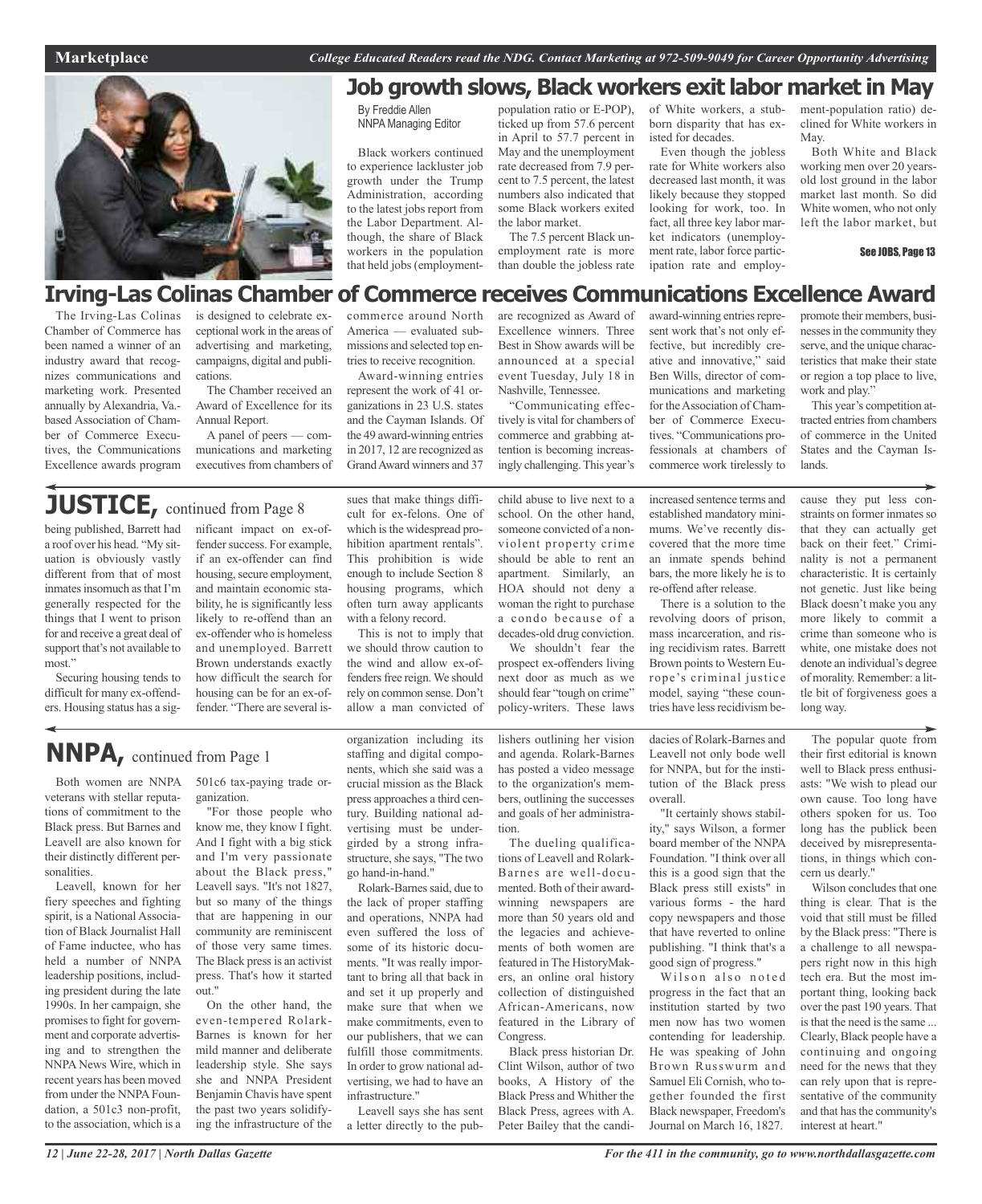

### **Job growth slows, Black workers exit labor market in May**

By Freddie Allen NNPA Managing Editor

Black workers continued to experience lackluster job growth under the Trump Administration, according to the latest jobs report from the Labor Department. Although, the share of Black workers in the population that held jobs (employmentpopulation ratio or E-POP), ticked up from 57.6 percent in April to 57.7 percent in May and the unemployment rate decreased from 7.9 percent to 7.5 percent, the latest numbers also indicated that some Black workers exited the labor market.

The 7.5 percent Black unemployment rate is more than double the jobless rate of White workers, a stubborn disparity that has existed for decades.

Even though the jobless rate for White workers also decreased last month, it was likely because they stopped looking for work, too. In fact, all three key labor market indicators (unemployment rate, labor force participation rate and employment-population ratio) declined for White workers in May.

Both White and Black working men over 20 yearsold lost ground in the labor market last month. So did White women, who not only left the labor market, but

See JOBS, Page 13

### **Irving-Las Colinas Chamber of Commerce receives Communications Excellence Award**

The Irving-Las Colinas Chamber of Commerce has been named a winner of an industry award that recognizes communications and marketing work. Presented annually by Alexandria, Va. based Association of Chamber of Commerce Executives, the Communications Excellence awards program

being published, Barrett had a roof over his head. "My situation is obviously vastly different from that of most inmates insomuch as that I'm generally respected for the things that I went to prison for and receive a great deal of support that's not available to

**JUSTICE,** continued from Page <sup>8</sup>

most."

is designed to celebrate exceptional work in the areas of advertising and marketing, campaigns, digital and publications. The Chamber received an

Award of Excellence for its Annual Report. A panel of peers — com-

nificant impact on ex-offender success. For example, if an ex-offender can find housing, secure employment, and maintain economic stability, he is significantly less likely to re-offend than an ex-offender who is homeless and unemployed. Barrett Brown understands exactly how difficult the search for housing can be for an ex-offender. "There are several is-

munications and marketing executives from chambers of

#### commerce around North America — evaluated submissions and selected top entries to receive recognition.

Award-winning entries represent the work of 41 organizations in 23 U.S. states and the Cayman Islands. Of the 49 award-winning entries in 2017, 12 are recognized as GrandAward winners and 37

sues that make things difficult for ex-felons. One of which is the widespread prohibition apartment rentals". This prohibition is wide enough to include Section 8 housing programs, which often turn away applicants with a felony record.

This is not to imply that we should throw caution to the wind and allow ex-offenders free reign. We should rely on common sense. Don't allow a man convicted of

are recognized as Award of Excellence winners. Three Best in Show awards will be announced at a special event Tuesday, July 18 in Nashville, Tennessee.

"Communicating effectively is vital for chambers of commerce and grabbing attention is becoming increasingly challenging.This year's

child abuse to live next to a school. On the other hand, someone convicted of a nonviolent property crime should be able to rent an apartment. Similarly, an HOA should not deny a woman the right to purchase a condo because of a decades-old drug conviction. We shouldn't fear the prospect ex-offenders living next door as much as we should fear "tough on crime" policy-writers. These laws

award-winning entries represent work that's not only effective, but incredibly creative and innovative," said Ben Wills, director of communications and marketing for theAssociation of Chamber of Commerce Executives. "Communications professionals at chambers of commerce work tirelessly to

increased sentence terms and established mandatory minimums. We've recently discovered that the more time an inmate spends behind bars, the more likely he is to re-offend after release.

There is a solution to the revolving doors of prison, mass incarceration, and rising recidivism rates. Barrett Brown points to Western Europe's criminal justice model, saying "these countries have less recidivism be-

promote their members, businessesin the community they serve, and the unique characteristics that make their state or region a top place to live, work and play."

This year's competition attracted entries from chambers of commerce in the United States and the Cayman Islands.

cause they put less constraints on former inmates so that they can actually get back on their feet." Criminality is not a permanent characteristic. It is certainly not genetic. Just like being Black doesn't make you any more likely to commit a crime than someone who is white, one mistake does not denote an individual's degree of morality. Remember: a little bit of forgiveness goes a long way.

## **NNPA,** continued from Page <sup>1</sup>

Both women are NNPA veterans with stellar reputations of commitment to the Black press. But Barnes and Leavell are also known for their distinctly different personalities.

Securing housing tends to difficult for many ex-offenders. Housing status has a sig-

Leavell, known for her fiery speeches and fighting spirit, is a National Association of Black Journalist Hall of Fame inductee, who has held a number of NNPA leadership positions, including president during the late 1990s. In her campaign, she promises to fight for government and corporate advertising and to strengthen the NNPA News Wire, which in recent years has been moved from under the NNPA Foundation, a 501c3 non-profit, to the association, which is a

501c6 tax-paying trade organization.

"For those people who know me, they know I fight. And I fight with a big stick and I'm very passionate about the Black press," Leavell says. "It's not 1827, but so many of the things that are happening in our community are reminiscent of those very same times. The Black press is an activist press. That's how it started out."

On the other hand, the even-tempered Rolark-Barnes is known for her mild manner and deliberate leadership style. She says she and NNPA President Benjamin Chavis have spent the past two years solidifying the infrastructure of the

organization including its staffing and digital components, which she said was a crucial mission as the Black press approaches a third century. Building national advertising must be undergirded by a strong infrastructure, she says, "The two go hand-in-hand."

Rolark-Barnes said, due to the lack of proper staffing and operations, NNPA had even suffered the loss of some of its historic documents. "It was really important to bring all that back in and set it up properly and make sure that when we make commitments, even to our publishers, that we can fulfill those commitments. In order to grow national advertising, we had to have an infrastructure."

Leavell says she has sent a letter directly to the publishers outlining her vision and agenda. Rolark-Barnes has posted a video message to the organization's members, outlining the successes and goals of her administration.

The dueling qualifications of Leavell and Rolark-Barnes are well-documented. Both of their awardwinning newspapers are more than 50 years old and the legacies and achievements of both women are featured in The HistoryMakers, an online oral history collection of distinguished African-Americans, now featured in the Library of Congress.

Black press historian Dr. Clint Wilson, author of two books, A History of the Black Press and Whither the Black Press, agrees with A. Peter Bailey that the candidacies of Rolark-Barnes and Leavell not only bode well for NNPA, but for the institution of the Black press overall.

"It certainly shows stability," says Wilson, a former board member of the NNPA Foundation. "I think over all this is a good sign that the Black press still exists" in various forms - the hard copy newspapers and those that have reverted to online publishing. "I think that's a good sign of progress."

Wilson also noted progress in the fact that an institution started by two men now has two women contending for leadership. He was speaking of John Brown Russwurm and Samuel Eli Cornish, who together founded the first Black newspaper, Freedom's Journal on March 16, 1827.

The popular quote from their first editorial is known well to Black press enthusiasts: "We wish to plead our own cause. Too long have others spoken for us. Too long has the publick been deceived by misrepresentations, in things which concern us dearly."

Wilson concludes that one thing is clear. That is the void that still must be filled by the Black press: "There is a challenge to all newspapers right now in this high tech era. But the most important thing, looking back over the past 190 years. That is that the need is the same ... Clearly, Black people have a continuing and ongoing need for the news that they can rely upon that is representative of the community and that has the community's interest at heart."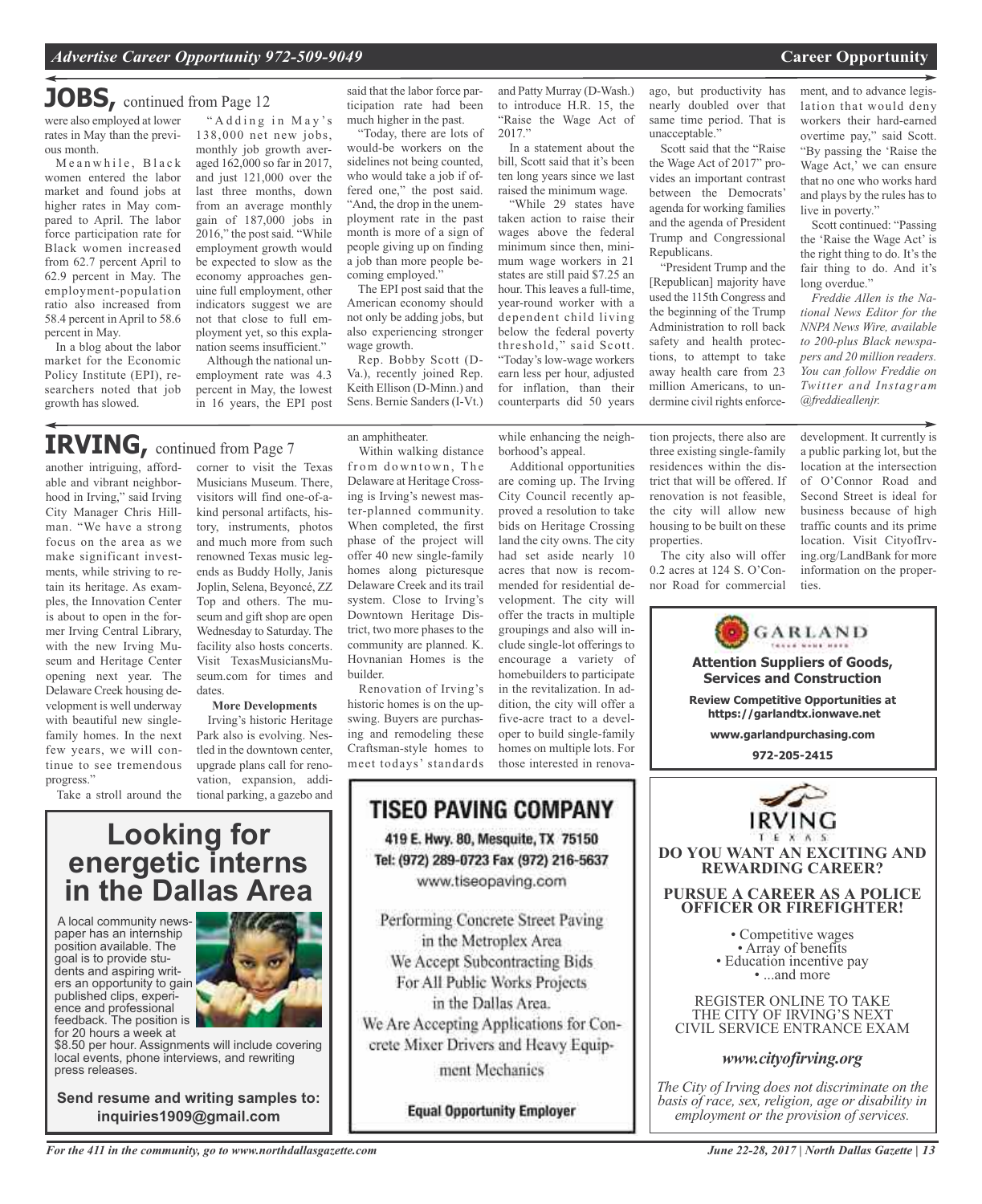### **JOBS,** continued from Page <sup>12</sup>

were also employed at lower rates in May than the previous month.

Meanwhile, Black women entered the labor market and found jobs at higher rates in May compared to April. The labor force participation rate for Black women increased from 62.7 percent April to 62.9 percent in May. The employment-population ratio also increased from 58.4 percent in April to 58.6 percent in May.

In a blog about the labor market for the Economic Policy Institute (EPI), researchers noted that job growth has slowed.

" Adding in May's 138,000 net new jobs, monthly job growth averaged 162,000 so far in 2017, and just 121,000 over the last three months, down from an average monthly gain of 187,000 jobs in 2016," the post said. "While employment growth would be expected to slow as the economy approaches genuine full employment, other indicators suggest we are not that close to full employment yet, so this explanation seems insufficient."

Although the national unemployment rate was 4.3 percent in May, the lowest in 16 years, the EPI post

#### said that the labor force participation rate had been much higher in the past.

"Today, there are lots of would-be workers on the sidelines not being counted, who would take a job if offered one," the post said. "And, the drop in the unemployment rate in the past month is more of a sign of people giving up on finding a job than more people becoming employed."

The EPI post said that the American economy should not only be adding jobs, but also experiencing stronger wage growth.

Rep. Bobby Scott (D-Va.), recently joined Rep. Keith Ellison (D-Minn.) and Sens. Bernie Sanders (I-Vt.)

#### an amphitheater.

corner to visit the Texas Musicians Museum. There, visitors will find one-of-akind personal artifacts, history, instruments, photos and much more from such renowned Texas music legends as Buddy Holly, Janis Joplin, Selena, Beyoncé, ZZ Top and others. The museum and gift shop are open Wednesday to Saturday. The facility also hosts concerts. Visit TexasMusiciansMuseum.com for times and Within walking distance from downtown, The Delaware at Heritage Crossing is Irving's newest master-planned community. When completed, the first phase of the project will offer 40 new single-family homes along picturesque Delaware Creek and its trail system. Close to Irving's Downtown Heritage District, two more phases to the community are planned. K. Hovnanian Homes is the builder.

Renovation of Irving's historic homes is on the upswing. Buyers are purchasing and remodeling these Craftsman-style homes to meet todays' standards

homebuilders to participate in the revitalization. In addition, the city will offer a five-acre tract to a developer to build single-family homes on multiple lots. For those interested in renova-

while enhancing the neigh-

and Patty Murray (D-Wash.) to introduce H.R. 15, the "Raise the Wage Act of

In a statement about the bill, Scott said that it's been ten long years since we last raised the minimum wage. "While 29 states have taken action to raise their wages above the federal minimum since then, minimum wage workers in 21 states are still paid \$7.25 an hour. This leaves a full-time, year-round worker with a dependent child living below the federal poverty threshold," said Scott. "Today's low-wage workers earn less per hour, adjusted for inflation, than their counterparts did 50 years

2017."

Additional opportunities are coming up. The Irving City Council recently approved a resolution to take bids on Heritage Crossing land the city owns. The city had set aside nearly 10 acres that now is recommended for residential development. The city will offer the tracts in multiple groupings and also will include single-lot offerings to encourage a variety of

borhood's appeal.

### **TISEO PAVING COMPANY** 419 E. Hwy. 80, Mesquite, TX 75150 Tel: (972) 289-0723 Fax (972) 216-5637

www.tiseopaving.com

Performing Concrete Street Paving in the Metroplex Area We Accept Subcontracting Bids For All Public Works Projects in the Dallas Area. We Are Accepting Applications for Concrete Mixer Drivers and Heavy Equip-

ment Mechanics

**Equal Opportunity Employer** 

#### ago, but productivity has nearly doubled over that same time period. That is unacceptable."

Scott said that the "Raise the Wage Act of 2017" provides an important contrast between the Democrats' agenda for working families and the agenda of President Trump and Congressional Republicans.

"President Trump and the [Republican] majority have used the 115th Congress and the beginning of the Trump Administration to roll back safety and health protections, to attempt to take away health care from 23 million Americans, to undermine civil rights enforce-

tion projects, there also are three existing single-family residences within the district that will be offered. If renovation is not feasible, the city will allow new housing to be built on these

The city also will offer 0.2 acres at 124 S. O'Connor Road for commercial

properties.

ment, and to advance legislation that would deny workers their hard-earned overtime pay," said Scott. "By passing the 'Raise the Wage Act,' we can ensure that no one who works hard and plays by the rules has to live in poverty."

Scott continued: "Passing the 'Raise the Wage Act' is the right thing to do. It's the fair thing to do. And it's long overdue."

*Freddie Allen is the National News Editor for the NNPA News Wire, available to 200-plus Black newspapers and 20 million readers. You can follow Freddie on Twitter and Instagram @freddieallenjr.*

development. It currently is a public parking lot, but the location at the intersection of O'Connor Road and Second Street is ideal for business because of high traffic counts and its prime location. Visit CityofIrving.org/LandBank for more information on the properties.



#### **PURSUE A CAREER AS A POLICE OFFICER OR FIREFIGHTER!**

• Competitive wages<br>• Array of benefits<br>• Education incentive pay<br>• ...and more

REGISTER ONLINE TO TAKE THE CITY OF IRVING'S NEXT CIVIL SERVICE ENTRANCE EXAM

#### *www.cityofirving.org*

*The City of Irving does not discriminate on the basis of race, sex, religion, age or disability in employment or the provision of services.*

another intriguing, affordable and vibrant neighborhood in Irving," said Irving City Manager Chris Hillman. "We have a strong focus on the area as we make significant investments, while striving to retain its heritage. As examples, the Innovation Center is about to open in the former Irving Central Library, with the new Irving Museum and Heritage Center opening next year. The Delaware Creek housing development is well underway with beautiful new singlefamily homes. In the next few years, we will continue to see tremendous progress." **IRVING,** continued from Page <sup>7</sup>

Take a stroll around the

### **Looking for energetic interns in the Dallas Area**

dates.

**More Developments** Irving's historic Heritage Park also is evolving. Nestled in the downtown center, upgrade plans call for renovation, expansion, additional parking, a gazebo and

<sup>A</sup> local community news- paper has an internship position available. The<br>goal is to provide students and aspiring writ-<br>ers an opportunity to gain<br>published clips, experience and professional feedback. The position is for 20 hours a week at



\$8.50 per hour. Assignments will include covering local events, phone interviews, and rewriting press releases.

**Send resume and writing samples to: inquiries1909@gmail.com**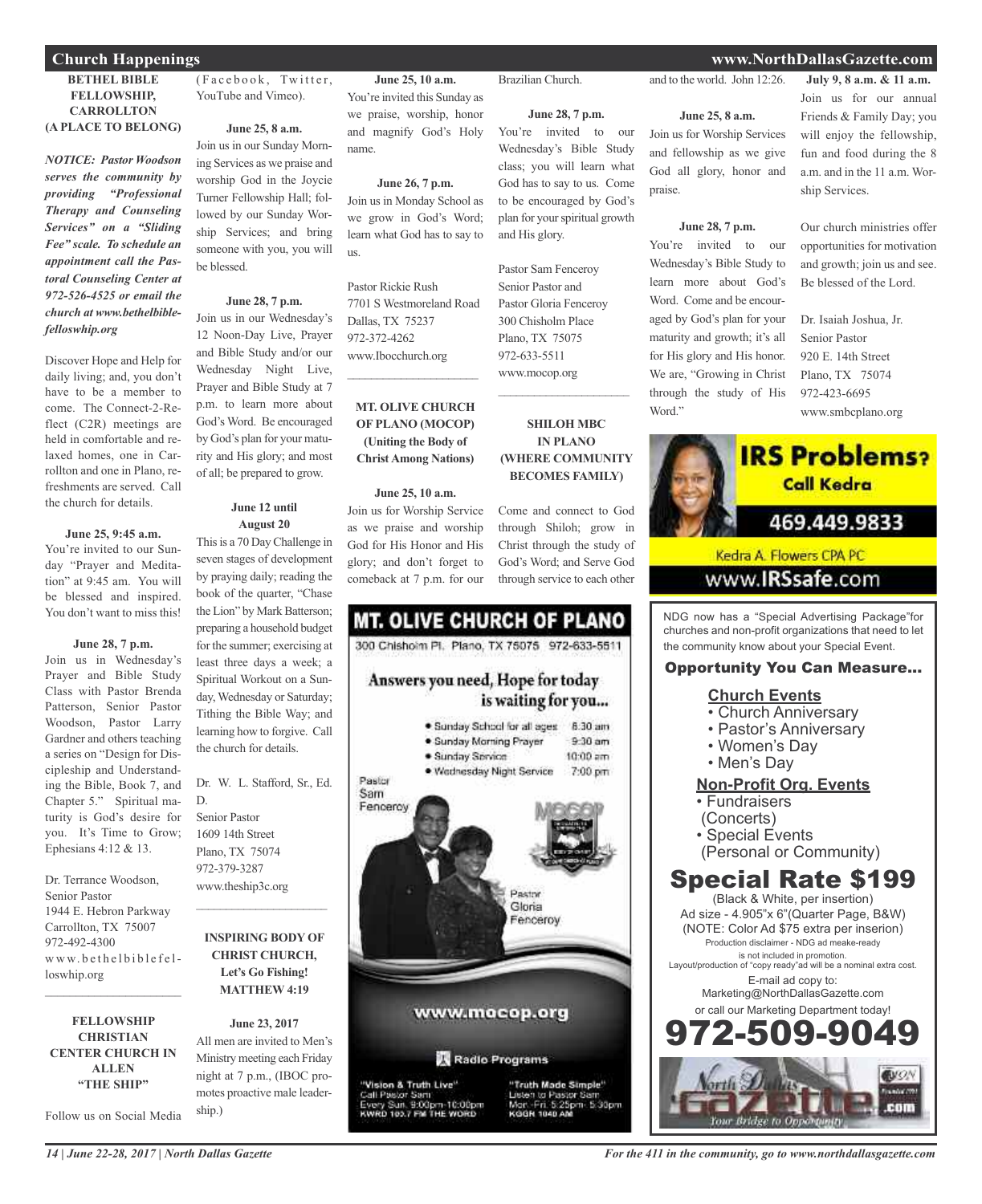#### **BETHEL BIBLE FELLOWSHIP, CARROLLTON (A PLACE TO BELONG)**

*NOTICE: Pastor Woodson serves the community by providing "Professional Therapy and Counseling Services" on a "Sliding Fee" scale. To schedule an appointment call the Pastoral Counseling Center at 972-526-4525 or email the church at www.bethelbiblefelloswhip.org*

Discover Hope and Help for daily living; and, you don't have to be a member to come. The Connect-2-Reflect (C2R) meetings are held in comfortable and relaxed homes, one in Carrollton and one in Plano, refreshments are served. Call the church for details.

#### **June 25, 9:45 a.m.**

You're invited to our Sunday "Prayer and Meditation" at 9:45 am. You will be blessed and inspired. You don't want to miss this!

#### **June 28, 7 p.m.**

Join us in Wednesday's Prayer and Bible Study Class with Pastor Brenda Patterson, Senior Pastor Woodson, Pastor Larry Gardner and others teaching a series on "Design for Discipleship and Understanding the Bible, Book 7, and Chapter 5." Spiritual maturity is God's desire for you. It's Time to Grow; Ephesians 4:12 & 13.

Dr. Terrance Woodson, Senior Pastor 1944 E. Hebron Parkway Carrollton, TX 75007 972-492-4300 www.bethelbiblefelloswhip.org

#### **FELLOWSHIP CHRISTIAN CENTER CHURCH IN ALLEN "THE SHIP"**

 $\mathcal{L}_\text{max}$  , and the set of the set of the set of the set of the set of the set of the set of the set of the set of the set of the set of the set of the set of the set of the set of the set of the set of the set of the

Follow us on Social Media

(Facebook, Twitter, YouTube and Vimeo).

**June 25, 8 a.m.**

Join us in our Sunday Morning Services as we praise and worship God in the Joycie Turner Fellowship Hall; followed by our Sunday Worship Services; and bring someone with you, you will be blessed.

#### **June 28, 7 p.m.**

Join us in our Wednesday's 12 Noon-Day Live, Prayer and Bible Study and/or our Wednesday Night Live, Prayer and Bible Study at 7 p.m. to learn more about God's Word. Be encouraged by God's plan for your maturity and His glory; and most of all; be prepared to grow.

#### **June 12 until August 20**

This is a 70 Day Challenge in seven stages of development by praying daily; reading the book of the quarter, "Chase the Lion" by Mark Batterson; preparing a household budget for the summer; exercising at least three days a week; a Spiritual Workout on a Sunday, Wednesday or Saturday; Tithing the Bible Way; and learning how to forgive. Call the church for details.

Dr. W. L. Stafford, Sr., Ed. D. Senior Pastor 1609 14th Street Plano, TX 75074

972-379-3287 www.theship3c.org  $\overline{\phantom{a}}$  ,  $\overline{\phantom{a}}$  ,  $\overline{\phantom{a}}$  ,  $\overline{\phantom{a}}$  ,  $\overline{\phantom{a}}$  ,  $\overline{\phantom{a}}$  ,  $\overline{\phantom{a}}$  ,  $\overline{\phantom{a}}$  ,  $\overline{\phantom{a}}$  ,  $\overline{\phantom{a}}$  ,  $\overline{\phantom{a}}$  ,  $\overline{\phantom{a}}$  ,  $\overline{\phantom{a}}$  ,  $\overline{\phantom{a}}$  ,  $\overline{\phantom{a}}$  ,  $\overline{\phantom{a}}$ 

#### **INSPIRING BODY OF CHRIST CHURCH, Let's Go Fishing! MATTHEW 4:19**

**June 23, 2017** All men are invited to Men's Ministry meeting each Friday night at 7 p.m., (IBOC promotes proactive male leadership.)

**June 25, 10 a.m.** You're invited this Sunday as we praise, worship, honor and magnify God's Holy name.

Brazilian Church.

and His glory.

Pastor Sam Fenceroy Senior Pastor and Pastor Gloria Fenceroy 300 Chisholm Place Plano, TX 75075 972-633-5511 www.mocop.org

 $\overline{\phantom{a}}$  ,  $\overline{\phantom{a}}$  ,  $\overline{\phantom{a}}$  ,  $\overline{\phantom{a}}$  ,  $\overline{\phantom{a}}$  ,  $\overline{\phantom{a}}$  ,  $\overline{\phantom{a}}$  ,  $\overline{\phantom{a}}$  ,  $\overline{\phantom{a}}$  ,  $\overline{\phantom{a}}$  ,  $\overline{\phantom{a}}$  ,  $\overline{\phantom{a}}$  ,  $\overline{\phantom{a}}$  ,  $\overline{\phantom{a}}$  ,  $\overline{\phantom{a}}$  ,  $\overline{\phantom{a}}$ 

**SHILOH MBC IN PLANO (WHERE COMMUNITY BECOMES FAMILY)**

Come and connect to God through Shiloh; grow in Christ through the study of God's Word; and Serve God through service to each other

**June 28, 7 p.m.** You're invited to our Wednesday's Bible Study class; you will learn what God has to say to us. Come to be encouraged by God's plan for yourspiritual growth

**June 26, 7 p.m.** Join us in Monday School as we grow in God's Word; learn what God has to say to us.

Pastor Rickie Rush 7701 S Westmoreland Road Dallas, TX 75237 972-372-4262 www.Ibocchurch.org

 $\overline{\phantom{a}}$  ,  $\overline{\phantom{a}}$  ,  $\overline{\phantom{a}}$  ,  $\overline{\phantom{a}}$  ,  $\overline{\phantom{a}}$  ,  $\overline{\phantom{a}}$  ,  $\overline{\phantom{a}}$  ,  $\overline{\phantom{a}}$  ,  $\overline{\phantom{a}}$  ,  $\overline{\phantom{a}}$  ,  $\overline{\phantom{a}}$  ,  $\overline{\phantom{a}}$  ,  $\overline{\phantom{a}}$  ,  $\overline{\phantom{a}}$  ,  $\overline{\phantom{a}}$  ,  $\overline{\phantom{a}}$ 

#### **MT. OLIVE CHURCH OF PLANO (MOCOP) (Uniting the Body of Christ Among Nations)**

**June 25, 10 a.m.** Join us for Worship Service as we praise and worship God for His Honor and His glory; and don't forget to comeback at 7 p.m. for our

#### **MT. OLIVE CHURCH OF PLANO** 300 Chishoim Pl. Plano, TX 75075 972-633-5511 Answers you need, Hope for today is waiting for you... · Sunday School for all ages 8:30 am  $9-30$  am · Sunday Morning Prayer  $10:00$  am · Sunday Service · Wednesday Night Service 7:00 pm Pastor Sam Fencerov Pastry Gloria Fenceroy www.mocop.org Radio Programs 'Vision & Truth Live" "Truth Made Simple" :<br>all Pastor Sam<br>WRD 193.7 FM THE WORD i to Pastor S<br>Fri. 5:25pm 5.30pm KODBE 1040 AB

and to the world. John 12:26.

#### **June 25, 8 a.m.**

Join us for Worship Services and fellowship as we give God all glory, honor and praise.

#### **June 28, 7 p.m.**

You're invited to our Wednesday's Bible Study to learn more about God's Word. Come and be encouraged by God's plan for your maturity and growth; it's all for His glory and His honor. We are, "Growing in Christ through the study of His Word."

**July 9, 8 a.m. & 11 a.m.** Join us for our annual Friends & Family Day; you will enjoy the fellowship, fun and food during the 8 a.m. and in the 11 a.m. Worship Services.

Our church ministries offer opportunities for motivation and growth; join us and see. Be blessed of the Lord.

Dr. Isaiah Joshua, Jr. Senior Pastor 920 E. 14th Street Plano, TX 75074 972-423-6695 www.smbcplano.org



NDG now has a "Special Advertising Package"for churches and non-profit organizations that need to let the community know about your Special Event.

#### Opportunity You Can Measure...

#### **Church Events**

- Church Anniversary
- Pastor's Anniversary
- Women's Day
- Men's Day

#### **Non-Profit Org. Events**

- Fundraisers
- (Concerts)
- Special Events
- (Personal or Community)

### Special Rate \$199

(Black & White, per insertion) Ad size - 4.905"x 6"(Quarter Page, B&W) (NOTE: Color Ad \$75 extra per inserion) Production disclaimer - NDG ad meake-ready is not included in promotion. Layout/production of "copy ready"ad will be a nominal extra cost. E-mail ad copy to: Marketing@NorthDallasGazette.com or call our Marketing Department today! 509.



*14 | June 22-28, 2017 | North Dallas Gazette*

#### **Church Happenings www.NorthDallasGazette.com**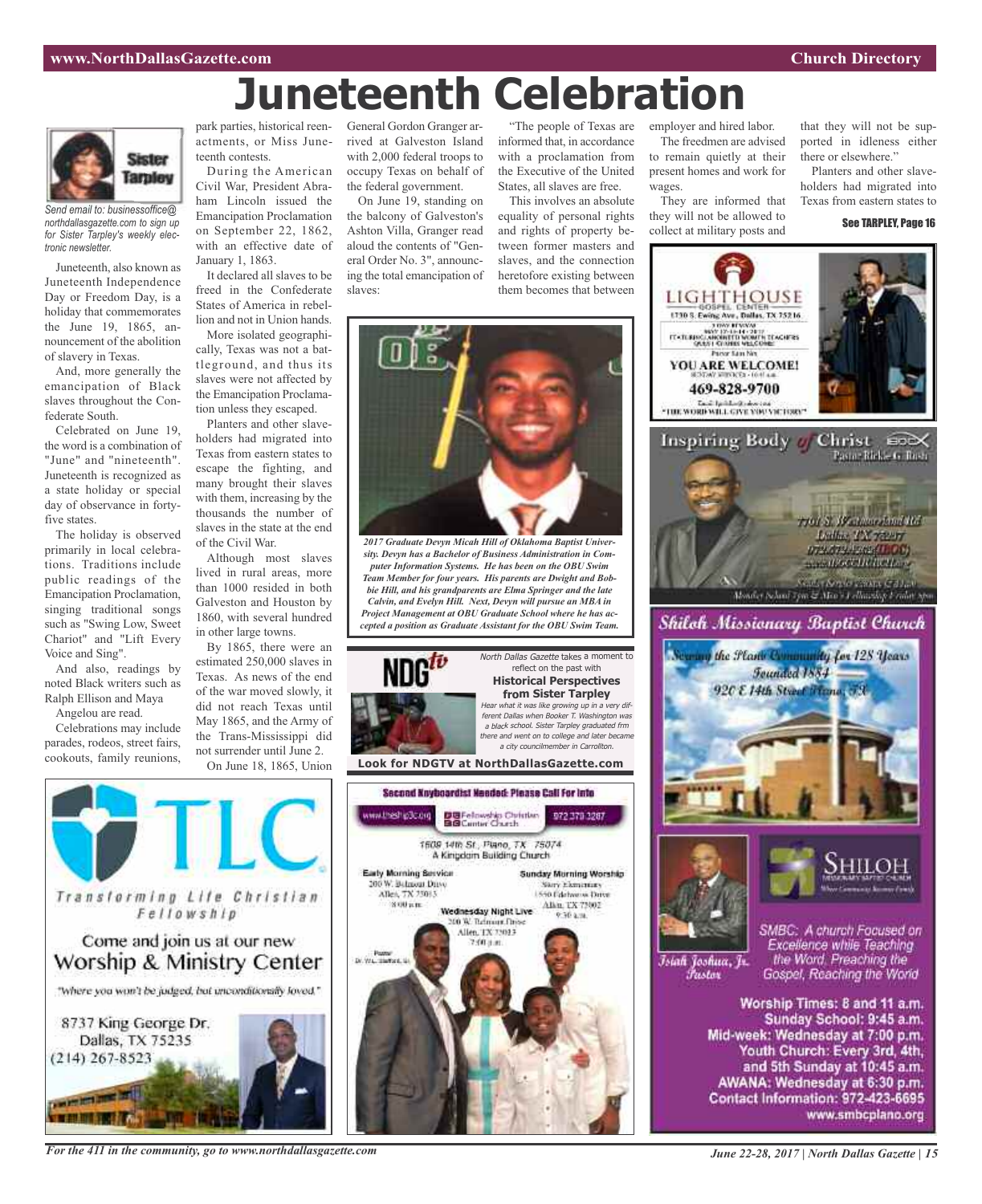that they will not be supported in idleness either there or elsewhere."

Planters and other slaveholders had migrated into Texas from eastern states to

See TARPLEY, Page 16

# **Juneteenth Celebration**



*Send email to: businessoffice@ northdallasgazette.com to sign up for Sister Tarpley's weekly electronic newsletter.*

Juneteenth, also known as Juneteenth Independence Day or Freedom Day, is a holiday that commemorates the June 19, 1865, announcement of the abolition of slavery in Texas.

And, more generally the emancipation of Black slaves throughout the Confederate South.

Celebrated on June 19, the word is a combination of "June" and "nineteenth". Juneteenth is recognized as a state holiday or special day of observance in fortyfive states.

The holiday is observed primarily in local celebrations. Traditions include public readings of the Emancipation Proclamation, singing traditional songs such as "Swing Low, Sweet Chariot" and "Lift Every Voice and Sing".

And also, readings by noted Black writers such as Ralph Ellison and Maya

Angelou are read.

Celebrations may include parades, rodeos, street fairs, cookouts, family reunions,

park parties, historical reen-General Gordon Granger aractments, or Miss Juneteenth contests.

During the American Civil War, President Abraham Lincoln issued the Emancipation Proclamation on September 22, 1862, with an effective date of January 1, 1863.

It declared all slaves to be freed in the Confederate States of America in rebellion and not in Union hands.

More isolated geographically, Texas was not a battleground, and thus its slaves were not affected by the Emancipation Proclamation unless they escaped.

Planters and other slaveholders had migrated into Texas from eastern states to escape the fighting, and many brought their slaves with them, increasing by the thousands the number of slaves in the state at the end of the Civil War.

Although most slaves lived in rural areas, more than 1000 resided in both Galveston and Houston by 1860, with several hundred in other large towns.

By 1865, there were an estimated 250,000 slaves in Texas. As news of the end of the war moved slowly, it did not reach Texas until May 1865, and the Army of the Trans-Mississippi did not surrender until June 2. On June 18, 1865, Union

rived at Galveston Island with 2,000 federal troops to occupy Texas on behalf of the federal government.

On June 19, standing on the balcony of Galveston's Ashton Villa, Granger read aloud the contents of "General Order No. 3", announcing the total emancipation of slaves:

"The people of Texas are informed that, in accordance with a proclamation from the Executive of the United States, all slaves are free.

employer and hired labor. The freedmen are advised to remain quietly at their present homes and work for

They are informed that they will not be allowed to collect at military posts and

wages.

This involves an absolute equality of personal rights and rights of property between former masters and slaves, and the connection heretofore existing between them becomes that between



*2017 Graduate Devyn Micah Hill of Oklahoma Baptist University. Devyn has a Bachelor of Business Administration in Computer Information Systems. He has been on the OBU Swim Team Member for four years. His parents are Dwight and Bobbie Hill, and his grandparents are Elma Springer and the late Calvin, and Evelyn Hill. Next, Devyn will pursue an MBA in Project Management at OBU Graduate School where he has accepted a position as Graduate Assistant for the OBU Swim Team.*



www.thest-p3c.org

**Early Morning Service** 

200 W. Balmout Drive

Allei, TX 75013

**SUULE** 

reflect on the past with **Historical Perspectives from Sister Tarpley** Hear what it was like growing up in <sup>a</sup> very different Dallas when Booker T. Washington was <sup>a</sup> black school. Sister Tarpley graduated frm there and went on to college and later became <sup>a</sup> city councilmember in Carrollton.

972.379.3287

Sunday Murning Worship

Sarry Elementary

1550 Edebase vs Drive

**Look for NDGTV at NorthDallasGazette.com**

Second Nnyboardist Needed: Please Call For Into

DUFelowship Opistive

1609 14th St., Plano, TX 75074 A Kingdam Building Church

200 W. Talmaux Dress

Allen, TX 73013

230.13

Wednesday Night Live  $\frac{\text{Alka}_{11}}{9.50 \text{ a.m.}}$ 



*For the 411 in the community, go to www.northdallasgazette.com*



www.smbcplano.org

Contact Information: 972-423-6695